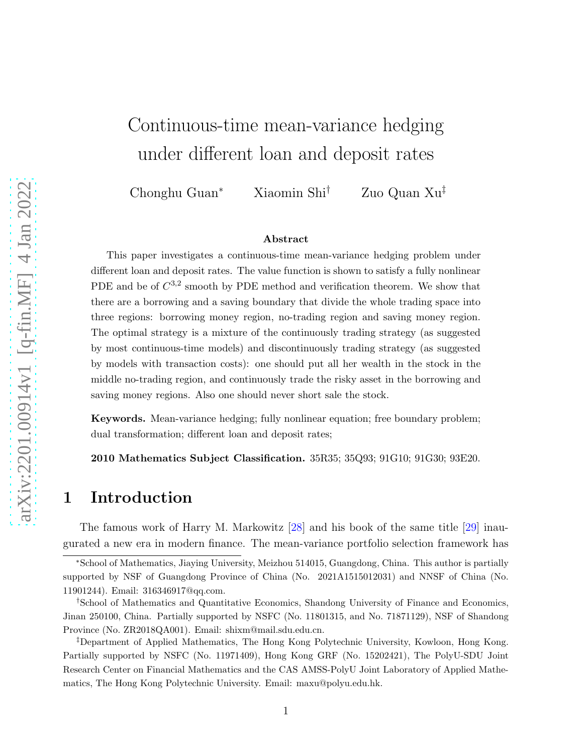# <span id="page-0-0"></span>Continuous-time mean-variance hedging under different loan and deposit rates

Chonghu Guan<sup>∗</sup> Xiaomin Shi† Zuo Quan Xu‡

#### Abstract

This paper investigates a continuous-time mean-variance hedging problem under different loan and deposit rates. The value function is shown to satisfy a fully nonlinear PDE and be of  $C^{3,2}$  smooth by PDE method and verification theorem. We show that there are a borrowing and a saving boundary that divide the whole trading space into three regions: borrowing money region, no-trading region and saving money region. The optimal strategy is a mixture of the continuously trading strategy (as suggested by most continuous-time models) and discontinuously trading strategy (as suggested by models with transaction costs): one should put all her wealth in the stock in the middle no-trading region, and continuously trade the risky asset in the borrowing and saving money regions. Also one should never short sale the stock.

Keywords. Mean-variance hedging; fully nonlinear equation; free boundary problem; dual transformation; different loan and deposit rates;

2010 Mathematics Subject Classification. 35R35; 35Q93; 91G10; 91G30; 93E20.

#### 1 Introduction

The famous work of Harry M. Markowitz [\[28\]](#page-30-0) and his book of the same title [\[29\]](#page-31-0) inaugurated a new era in modern finance. The mean-variance portfolio selection framework has

<sup>∗</sup>School of Mathematics, Jiaying University, Meizhou 514015, Guangdong, China. This author is partially supported by NSF of Guangdong Province of China (No. 2021A1515012031) and NNSF of China (No. 11901244). Email: 316346917@qq.com.

<sup>†</sup>School of Mathematics and Quantitative Economics, Shandong University of Finance and Economics, Jinan 250100, China. Partially supported by NSFC (No. 11801315, and No. 71871129), NSF of Shandong Province (No. ZR2018QA001). Email: shixm@mail.sdu.edu.cn.

<sup>‡</sup>Department of Applied Mathematics, The Hong Kong Polytechnic University, Kowloon, Hong Kong. Partially supported by NSFC (No. 11971409), Hong Kong GRF (No. 15202421), The PolyU-SDU Joint Research Center on Financial Mathematics and the CAS AMSS-PolyU Joint Laboratory of Applied Mathematics, The Hong Kong Polytechnic University. Email: maxu@polyu.edu.hk.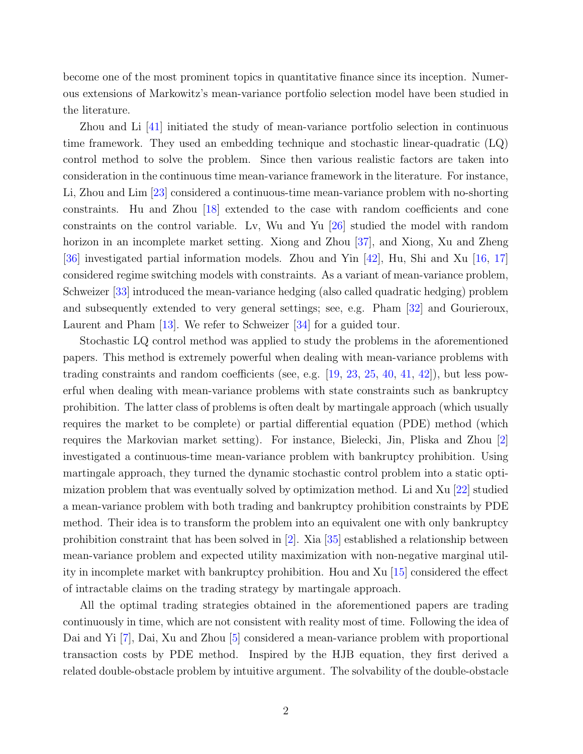<span id="page-1-0"></span>become one of the most prominent topics in quantitative finance since its inception. Numerous extensions of Markowitz's mean-variance portfolio selection model have been studied in the literature.

Zhou and Li [\[41\]](#page-31-1) initiated the study of mean-variance portfolio selection in continuous time framework. They used an embedding technique and stochastic linear-quadratic (LQ) control method to solve the problem. Since then various realistic factors are taken into consideration in the continuous time mean-variance framework in the literature. For instance, Li, Zhou and Lim [\[23\]](#page-30-1) considered a continuous-time mean-variance problem with no-shorting constraints. Hu and Zhou [\[18\]](#page-30-2) extended to the case with random coefficients and cone constraints on the control variable. Lv, Wu and Yu [\[26\]](#page-30-3) studied the model with random horizon in an incomplete market setting. Xiong and Zhou [\[37\]](#page-31-2), and Xiong, Xu and Zheng [\[36\]](#page-31-3) investigated partial information models. Zhou and Yin [\[42\]](#page-31-4), Hu, Shi and Xu [\[16,](#page-30-4) [17\]](#page-30-5) considered regime switching models with constraints. As a variant of mean-variance problem, Schweizer [\[33\]](#page-31-5) introduced the mean-variance hedging (also called quadratic hedging) problem and subsequently extended to very general settings; see, e.g. Pham [\[32\]](#page-31-6) and Gourieroux, Laurent and Pham [\[13\]](#page-29-0). We refer to Schweizer [\[34\]](#page-31-7) for a guided tour.

Stochastic LQ control method was applied to study the problems in the aforementioned papers. This method is extremely powerful when dealing with mean-variance problems with trading constraints and random coefficients (see, e.g.  $[19, 23, 25, 40, 41, 42]$  $[19, 23, 25, 40, 41, 42]$  $[19, 23, 25, 40, 41, 42]$  $[19, 23, 25, 40, 41, 42]$  $[19, 23, 25, 40, 41, 42]$  $[19, 23, 25, 40, 41, 42]$  $[19, 23, 25, 40, 41, 42]$  $[19, 23, 25, 40, 41, 42]$  $[19, 23, 25, 40, 41, 42]$  $[19, 23, 25, 40, 41, 42]$ ), but less powerful when dealing with mean-variance problems with state constraints such as bankruptcy prohibition. The latter class of problems is often dealt by martingale approach (which usually requires the market to be complete) or partial differential equation (PDE) method (which requires the Markovian market setting). For instance, Bielecki, Jin, Pliska and Zhou [\[2\]](#page-29-1) investigated a continuous-time mean-variance problem with bankruptcy prohibition. Using martingale approach, they turned the dynamic stochastic control problem into a static optimization problem that was eventually solved by optimization method. Li and  $Xu$  [\[22\]](#page-30-8) studied a mean-variance problem with both trading and bankruptcy prohibition constraints by PDE method. Their idea is to transform the problem into an equivalent one with only bankruptcy prohibition constraint that has been solved in [\[2\]](#page-29-1). Xia [\[35\]](#page-31-9) established a relationship between mean-variance problem and expected utility maximization with non-negative marginal utility in incomplete market with bankruptcy prohibition. Hou and Xu [\[15\]](#page-30-9) considered the effect of intractable claims on the trading strategy by martingale approach.

All the optimal trading strategies obtained in the aforementioned papers are trading continuously in time, which are not consistent with reality most of time. Following the idea of Dai and Yi [\[7\]](#page-29-2), Dai, Xu and Zhou [\[5\]](#page-29-3) considered a mean-variance problem with proportional transaction costs by PDE method. Inspired by the HJB equation, they first derived a related double-obstacle problem by intuitive argument. The solvability of the double-obstacle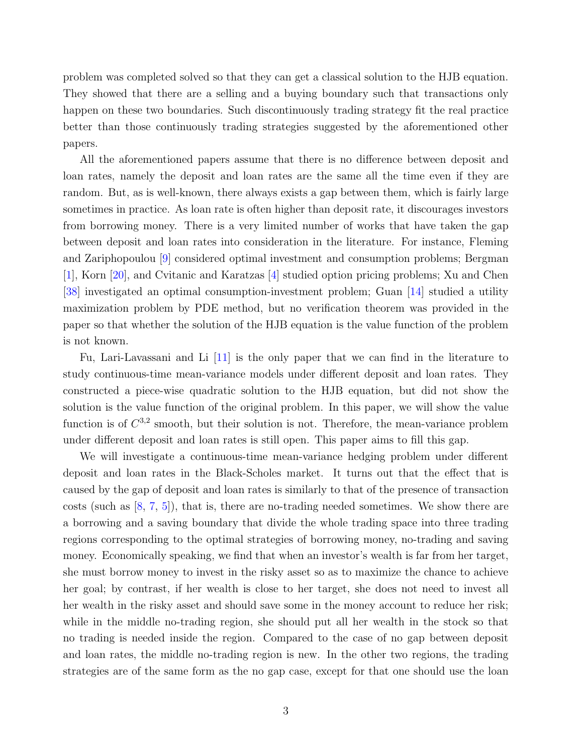<span id="page-2-0"></span>problem was completed solved so that they can get a classical solution to the HJB equation. They showed that there are a selling and a buying boundary such that transactions only happen on these two boundaries. Such discontinuously trading strategy fit the real practice better than those continuously trading strategies suggested by the aforementioned other papers.

All the aforementioned papers assume that there is no difference between deposit and loan rates, namely the deposit and loan rates are the same all the time even if they are random. But, as is well-known, there always exists a gap between them, which is fairly large sometimes in practice. As loan rate is often higher than deposit rate, it discourages investors from borrowing money. There is a very limited number of works that have taken the gap between deposit and loan rates into consideration in the literature. For instance, Fleming and Zariphopoulou [\[9\]](#page-29-4) considered optimal investment and consumption problems; Bergman [\[1\]](#page-29-5), Korn [\[20\]](#page-30-10), and Cvitanic and Karatzas [\[4\]](#page-29-6) studied option pricing problems; Xu and Chen [\[38\]](#page-31-10) investigated an optimal consumption-investment problem; Guan [\[14\]](#page-29-7) studied a utility maximization problem by PDE method, but no verification theorem was provided in the paper so that whether the solution of the HJB equation is the value function of the problem is not known.

Fu, Lari-Lavassani and Li [\[11\]](#page-29-8) is the only paper that we can find in the literature to study continuous-time mean-variance models under different deposit and loan rates. They constructed a piece-wise quadratic solution to the HJB equation, but did not show the solution is the value function of the original problem. In this paper, we will show the value function is of  $C^{3,2}$  smooth, but their solution is not. Therefore, the mean-variance problem under different deposit and loan rates is still open. This paper aims to fill this gap.

We will investigate a continuous-time mean-variance hedging problem under different deposit and loan rates in the Black-Scholes market. It turns out that the effect that is caused by the gap of deposit and loan rates is similarly to that of the presence of transaction costs (such as [\[8,](#page-29-9) [7,](#page-29-2) [5\]](#page-29-3)), that is, there are no-trading needed sometimes. We show there are a borrowing and a saving boundary that divide the whole trading space into three trading regions corresponding to the optimal strategies of borrowing money, no-trading and saving money. Economically speaking, we find that when an investor's wealth is far from her target, she must borrow money to invest in the risky asset so as to maximize the chance to achieve her goal; by contrast, if her wealth is close to her target, she does not need to invest all her wealth in the risky asset and should save some in the money account to reduce her risk; while in the middle no-trading region, she should put all her wealth in the stock so that no trading is needed inside the region. Compared to the case of no gap between deposit and loan rates, the middle no-trading region is new. In the other two regions, the trading strategies are of the same form as the no gap case, except for that one should use the loan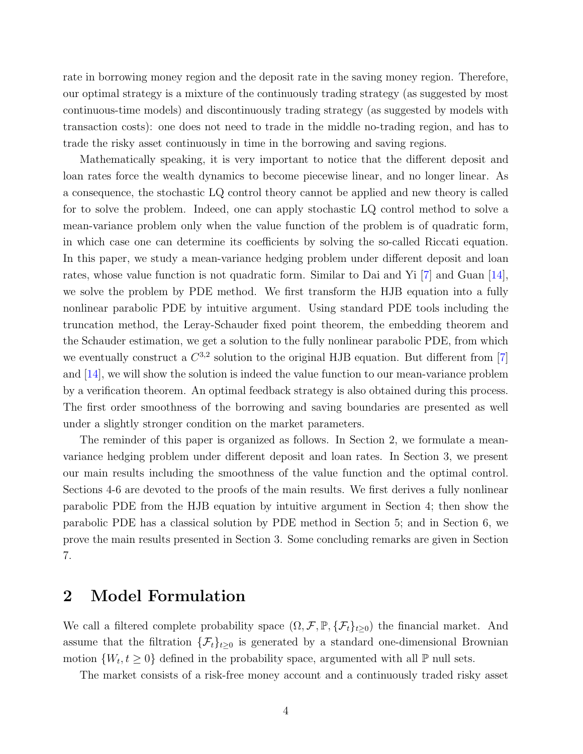<span id="page-3-0"></span>rate in borrowing money region and the deposit rate in the saving money region. Therefore, our optimal strategy is a mixture of the continuously trading strategy (as suggested by most continuous-time models) and discontinuously trading strategy (as suggested by models with transaction costs): one does not need to trade in the middle no-trading region, and has to trade the risky asset continuously in time in the borrowing and saving regions.

Mathematically speaking, it is very important to notice that the different deposit and loan rates force the wealth dynamics to become piecewise linear, and no longer linear. As a consequence, the stochastic LQ control theory cannot be applied and new theory is called for to solve the problem. Indeed, one can apply stochastic LQ control method to solve a mean-variance problem only when the value function of the problem is of quadratic form, in which case one can determine its coefficients by solving the so-called Riccati equation. In this paper, we study a mean-variance hedging problem under different deposit and loan rates, whose value function is not quadratic form. Similar to Dai and Yi [\[7\]](#page-29-2) and Guan [\[14\]](#page-29-7), we solve the problem by PDE method. We first transform the HJB equation into a fully nonlinear parabolic PDE by intuitive argument. Using standard PDE tools including the truncation method, the Leray-Schauder fixed point theorem, the embedding theorem and the Schauder estimation, we get a solution to the fully nonlinear parabolic PDE, from which we eventually construct a  $C^{3,2}$  solution to the original HJB equation. But different from [\[7\]](#page-29-2) and [\[14\]](#page-29-7), we will show the solution is indeed the value function to our mean-variance problem by a verification theorem. An optimal feedback strategy is also obtained during this process. The first order smoothness of the borrowing and saving boundaries are presented as well under a slightly stronger condition on the market parameters.

The reminder of this paper is organized as follows. In Section 2, we formulate a meanvariance hedging problem under different deposit and loan rates. In Section 3, we present our main results including the smoothness of the value function and the optimal control. Sections 4-6 are devoted to the proofs of the main results. We first derives a fully nonlinear parabolic PDE from the HJB equation by intuitive argument in Section 4; then show the parabolic PDE has a classical solution by PDE method in Section 5; and in Section 6, we prove the main results presented in Section 3. Some concluding remarks are given in Section 7.

### 2 Model Formulation

We call a filtered complete probability space  $(\Omega, \mathcal{F}, \mathbb{P}, \{\mathcal{F}_t\}_{t\geq 0})$  the financial market. And assume that the filtration  $\{\mathcal{F}_t\}_{t\geq 0}$  is generated by a standard one-dimensional Brownian motion  $\{W_t, t \geq 0\}$  defined in the probability space, argumented with all  $\mathbb P$  null sets.

The market consists of a risk-free money account and a continuously traded risky asset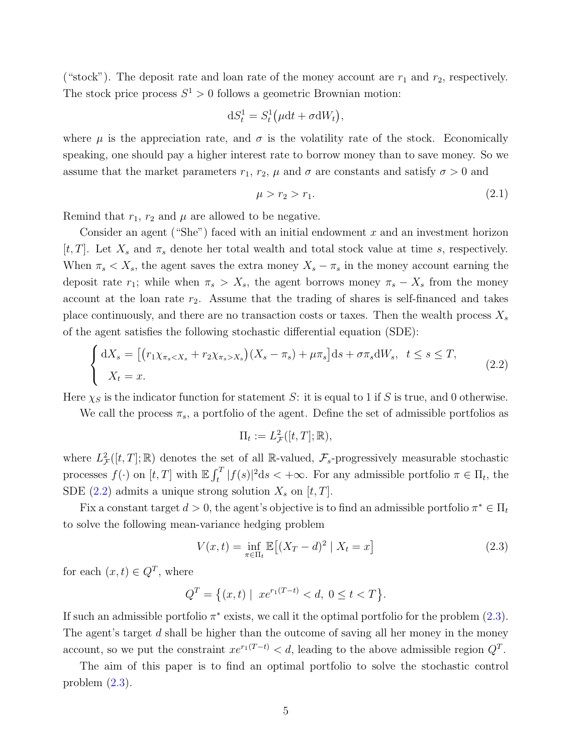("stock"). The deposit rate and loan rate of the money account are  $r_1$  and  $r_2$ , respectively. The stock price process  $S^1 > 0$  follows a geometric Brownian motion:

$$
dS_t^1 = S_t^1(\mu dt + \sigma dW_t),
$$

where  $\mu$  is the appreciation rate, and  $\sigma$  is the volatility rate of the stock. Economically speaking, one should pay a higher interest rate to borrow money than to save money. So we assume that the market parameters  $r_1$ ,  $r_2$ ,  $\mu$  and  $\sigma$  are constants and satisfy  $\sigma > 0$  and

<span id="page-4-2"></span><span id="page-4-0"></span>
$$
\mu > r_2 > r_1. \tag{2.1}
$$

Remind that  $r_1$ ,  $r_2$  and  $\mu$  are allowed to be negative.

Consider an agent ("She") faced with an initial endowment  $x$  and an investment horizon [t, T]. Let  $X_s$  and  $\pi_s$  denote her total wealth and total stock value at time s, respectively. When  $\pi_s < X_s$ , the agent saves the extra money  $X_s - \pi_s$  in the money account earning the deposit rate  $r_1$ ; while when  $\pi_s > X_s$ , the agent borrows money  $\pi_s - X_s$  from the money account at the loan rate  $r_2$ . Assume that the trading of shares is self-financed and takes place continuously, and there are no transaction costs or taxes. Then the wealth process  $X_s$ of the agent satisfies the following stochastic differential equation (SDE):

$$
\begin{cases} dX_s = \left[ \left( r_1 \chi_{\pi_s < X_s} + r_2 \chi_{\pi_s > X_s} \right) \left( X_s - \pi_s \right) + \mu \pi_s \right] ds + \sigma \pi_s dW_s, \quad t \leq s \leq T, \\ X_t = x. \end{cases} \tag{2.2}
$$

Here  $\chi_S$  is the indicator function for statement S: it is equal to 1 if S is true, and 0 otherwise.

We call the process  $\pi_s$ , a portfolio of the agent. Define the set of admissible portfolios as

<span id="page-4-1"></span>
$$
\Pi_t := L^2_{\mathcal{F}}([t,T];\mathbb{R}),
$$

where  $L^2_{\mathcal{F}}([t, T]; \mathbb{R})$  denotes the set of all R-valued,  $\mathcal{F}_s$ -progressively measurable stochastic processes  $f(\cdot)$  on  $[t, T]$  with  $\mathbb{E} \int_t^T |f(s)|^2 ds < +\infty$ . For any admissible portfolio  $\pi \in \Pi_t$ , the SDE [\(2.2\)](#page-4-0) admits a unique strong solution  $X_s$  on  $[t, T]$ .

Fix a constant target  $d > 0$ , the agent's objective is to find an admissible portfolio  $\pi^* \in \Pi_t$ to solve the following mean-variance hedging problem

$$
V(x,t) = \inf_{\pi \in \Pi_t} \mathbb{E}\left[ (X_T - d)^2 \mid X_t = x \right] \tag{2.3}
$$

for each  $(x,t) \in Q^T$ , where

$$
Q^T = \big\{ (x, t) \mid \ x e^{r_1(T-t)} < d, \ 0 \le t < T \big\}.
$$

If such an admissible portfolio  $\pi^*$  exists, we call it the optimal portfolio for the problem  $(2.3)$ . The agent's target d shall be higher than the outcome of saving all her money in the money account, so we put the constraint  $xe^{r_1(T-t)} < d$ , leading to the above admissible region  $Q^T$ .

The aim of this paper is to find an optimal portfolio to solve the stochastic control problem [\(2.3\)](#page-4-1).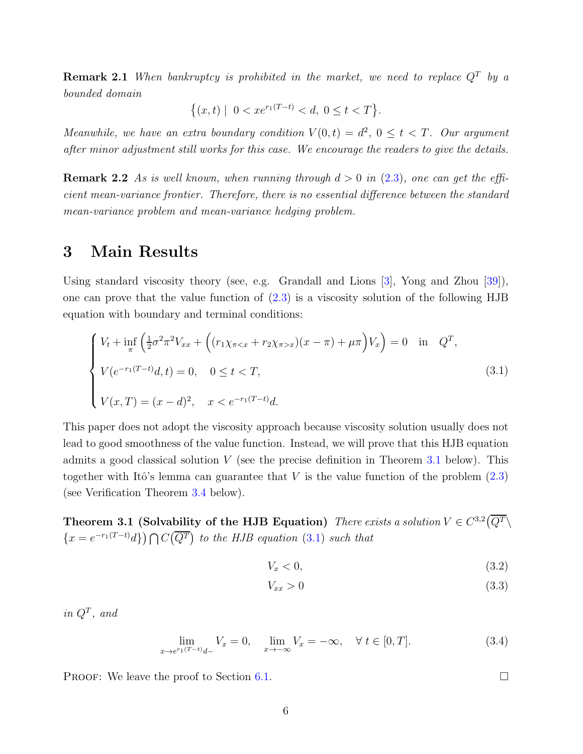<span id="page-5-5"></span>**Remark 2.1** When bankruptcy is prohibited in the market, we need to replace  $Q<sup>T</sup>$  by a bounded domain

$$
\{(x,t) \mid 0 < xe^{r_1(T-t)} < d, \ 0 \le t < T\}.
$$

Meanwhile, we have an extra boundary condition  $V(0,t) = d^2$ ,  $0 \le t < T$ . Our argument after minor adjustment still works for this case. We encourage the readers to give the details.

**Remark 2.2** As is well known, when running through  $d > 0$  in [\(2.3\)](#page-4-1), one can get the efficient mean-variance frontier. Therefore, there is no essential difference between the standard mean-variance problem and mean-variance hedging problem.

### 3 Main Results

Using standard viscosity theory (see, e.g. Grandall and Lions [\[3\]](#page-29-10), Yong and Zhou [\[39\]](#page-31-11)), one can prove that the value function of [\(2.3\)](#page-4-1) is a viscosity solution of the following HJB equation with boundary and terminal conditions:

$$
\begin{cases}\nV_t + \inf_{\pi} \left( \frac{1}{2} \sigma^2 \pi^2 V_{xx} + \left( (r_1 \chi_{\pi < x} + r_2 \chi_{\pi > x}) (x - \pi) + \mu \pi \right) V_x \right) = 0 & \text{in} \quad Q^T, \\
V(e^{-r_1(T-t)} d, t) = 0, \quad 0 \le t < T, \\
V(x, T) = (x - d)^2, \quad x < e^{-r_1(T-t)} d.\n\end{cases} \tag{3.1}
$$

This paper does not adopt the viscosity approach because viscosity solution usually does not lead to good smoothness of the value function. Instead, we will prove that this HJB equation admits a good classical solution  $V$  (see the precise definition in Theorem [3.1](#page-5-0) below). This together with Itô's lemma can guarantee that  $V$  is the value function of the problem  $(2.3)$ (see Verification Theorem [3.4](#page-7-0) below).

<span id="page-5-0"></span>Theorem 3.1 (Solvability of the HJB Equation) There exists a solution  $V \in C^{3,2}(\overline{Q^T}\setminus$  $\{x=e^{-r_1(T-t)}d\}\bigcap C(\overline{Q^T})$  to the HJB equation [\(3.1\)](#page-5-1) such that

<span id="page-5-1"></span>
$$
V_x < 0,\tag{3.2}
$$

$$
V_{xx} > 0 \tag{3.3}
$$

in  $Q^T$ , and

$$
\lim_{x \to e^{r_1(T-t)}d-} V_x = 0, \quad \lim_{x \to -\infty} V_x = -\infty, \quad \forall \ t \in [0, T].
$$
\n(3.4)

PROOF: We leave the proof to Section [6.1.](#page-19-0)

<span id="page-5-4"></span><span id="page-5-3"></span><span id="page-5-2"></span>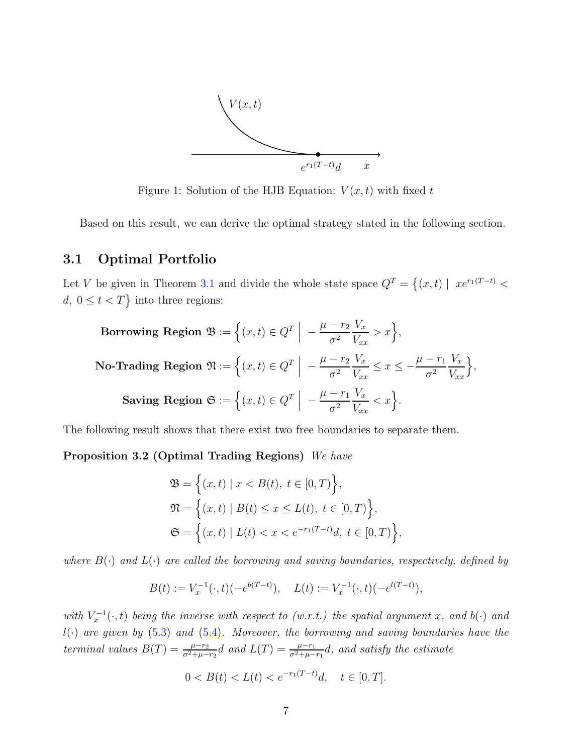

Figure 1: Solution of the HJB Equation:  $V(x, t)$  with fixed t

Based on this result, we can derive the optimal strategy stated in the following section.

#### 3.1 Optimal Portfolio

Let V be given in Theorem [3.1](#page-5-0) and divide the whole state space  $Q^T = \{(x, t) | x e^{r_1(T-t)} \leq$  $d, 0 \leq t < T$  into three regions:

Borrowing Region 
$$
\mathfrak{B} := \left\{ (x, t) \in Q^T \: \middle| \: -\frac{\mu - r_2}{\sigma^2} \frac{V_x}{V_{xx}} > x \right\},
$$

\nNo-Trading Region  $\mathfrak{N} := \left\{ (x, t) \in Q^T \: \middle| \: -\frac{\mu - r_2}{\sigma^2} \frac{V_x}{V_{xx}} \leq x \leq -\frac{\mu - r_1}{\sigma^2} \frac{V_x}{V_{xx}} \right\},$ 

\nSaving Region  $\mathfrak{S} := \left\{ (x, t) \in Q^T \: \middle| \: -\frac{\mu - r_1}{\sigma^2} \frac{V_x}{V_{xx}} < x \right\}.$ 

The following result shows that there exist two free boundaries to separate them.

Proposition 3.2 (Optimal Trading Regions) We have

<span id="page-6-0"></span>
$$
\mathfrak{B} = \left\{ (x, t) \mid x < B(t), \ t \in [0, T) \right\},\
$$
\n
$$
\mathfrak{N} = \left\{ (x, t) \mid B(t) \le x \le L(t), \ t \in [0, T) \right\},\
$$
\n
$$
\mathfrak{S} = \left\{ (x, t) \mid L(t) < x < e^{-r_1(T - t)}d, \ t \in [0, T) \right\},\
$$

where  $B(\cdot)$  and  $L(\cdot)$  are called the borrowing and saving boundaries, respectively, defined by

$$
B(t) := V_x^{-1}(\cdot, t)(-e^{b(T-t)}), \quad L(t) := V_x^{-1}(\cdot, t)(-e^{l(T-t)}),
$$

with  $V_x^{-1}(\cdot, t)$  being the inverse with respect to (w.r.t.) the spatial argument x, and b( $\cdot$ ) and  $l(\cdot)$  are given by [\(5.3\)](#page-12-0) and [\(5.4\)](#page-12-1). Moreover, the borrowing and saving boundaries have the terminal values  $B(T) = \frac{\mu - r_2}{\sigma^2 + \mu - r_2}d$  and  $L(T) = \frac{\mu - r_1}{\sigma^2 + \mu - r_1}d$ , and satisfy the estimate

$$
0 < B(t) < L(t) < e^{-r_1(T-t)}d, \quad t \in [0, T].
$$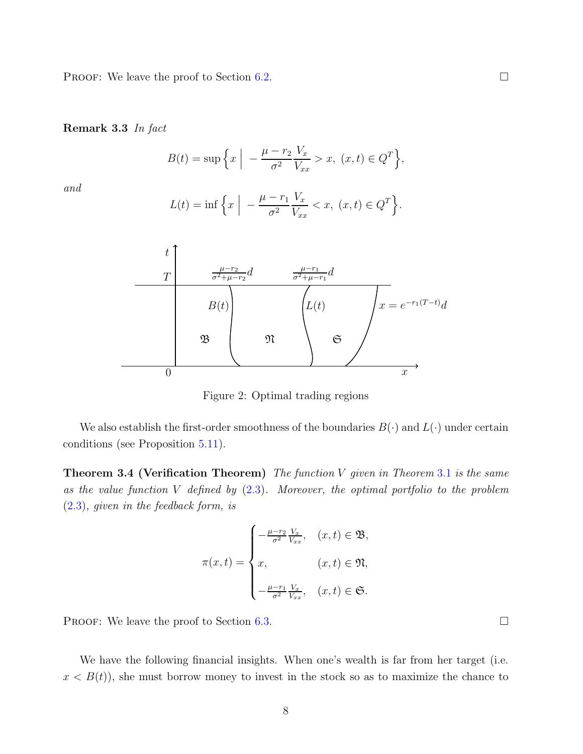PROOF: We leave the proof to Section [6.2.](#page-21-0)

Remark 3.3 In fact

$$
B(t) = \sup \left\{ x \mid -\frac{\mu - r_2}{\sigma^2} \frac{V_x}{V_{xx}} > x, \ (x, t) \in Q^T \right\},\
$$

and

$$
L(t) = \inf \left\{ x \middle| -\frac{\mu - r_1}{\sigma^2} \frac{V_x}{V_{xx}} < x, \ (x, t) \in Q^T \right\}.
$$



Figure 2: Optimal trading regions

<span id="page-7-0"></span>We also establish the first-order smoothness of the boundaries  $B(\cdot)$  and  $L(\cdot)$  under certain conditions (see Proposition [5.11\)](#page-16-0).

**Theorem 3.4 (Verification Theorem)** The function V given in Theorem [3.1](#page-5-0) is the same as the value function  $V$  defined by  $(2.3)$ . Moreover, the optimal portfolio to the problem [\(2.3\)](#page-4-1), given in the feedback form, is

$$
\pi(x,t) = \begin{cases}\n-\frac{\mu - r_2}{\sigma^2} \frac{V_x}{V_{xx}}, & (x,t) \in \mathfrak{B}, \\
x, & (x,t) \in \mathfrak{N}, \\
-\frac{\mu - r_1}{\sigma^2} \frac{V_x}{V_{xx}}, & (x,t) \in \mathfrak{S}.\n\end{cases}
$$

PROOF: We leave the proof to Section [6.3.](#page-21-1)

We have the following financial insights. When one's wealth is far from her target (i.e.  $x < B(t)$ , she must borrow money to invest in the stock so as to maximize the chance to

8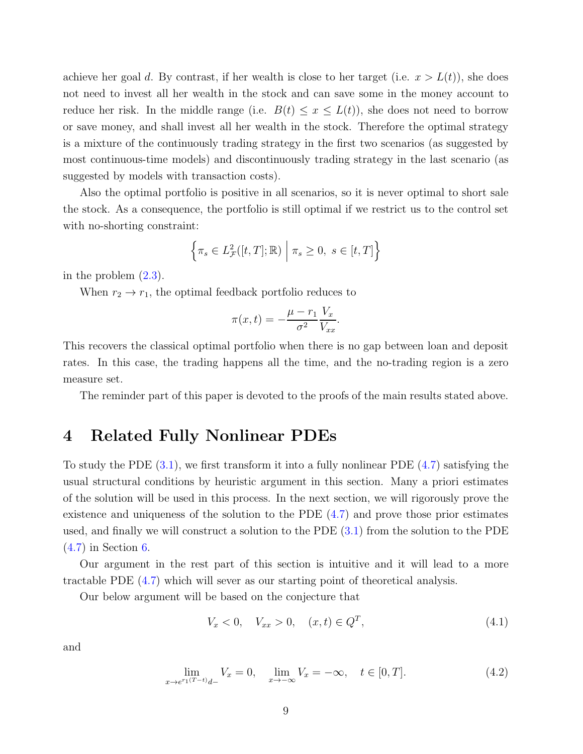achieve her goal d. By contrast, if her wealth is close to her target (i.e.  $x > L(t)$ ), she does not need to invest all her wealth in the stock and can save some in the money account to reduce her risk. In the middle range (i.e.  $B(t) \leq x \leq L(t)$ ), she does not need to borrow or save money, and shall invest all her wealth in the stock. Therefore the optimal strategy is a mixture of the continuously trading strategy in the first two scenarios (as suggested by most continuous-time models) and discontinuously trading strategy in the last scenario (as suggested by models with transaction costs).

Also the optimal portfolio is positive in all scenarios, so it is never optimal to short sale the stock. As a consequence, the portfolio is still optimal if we restrict us to the control set with no-shorting constraint:

$$
\left\{ \pi_s \in L^2_{\mathcal{F}}([t,T];\mathbb{R}) \middle| \pi_s \ge 0, \ s \in [t,T] \right\}
$$

in the problem [\(2.3\)](#page-4-1).

When  $r_2 \rightarrow r_1$ , the optimal feedback portfolio reduces to

$$
\pi(x,t) = -\frac{\mu - r_1}{\sigma^2} \frac{V_x}{V_{xx}}.
$$

This recovers the classical optimal portfolio when there is no gap between loan and deposit rates. In this case, the trading happens all the time, and the no-trading region is a zero measure set.

The reminder part of this paper is devoted to the proofs of the main results stated above.

### 4 Related Fully Nonlinear PDEs

To study the PDE  $(3.1)$ , we first transform it into a fully nonlinear PDE  $(4.7)$  satisfying the usual structural conditions by heuristic argument in this section. Many a priori estimates of the solution will be used in this process. In the next section, we will rigorously prove the existence and uniqueness of the solution to the PDE  $(4.7)$  and prove those prior estimates used, and finally we will construct a solution to the PDE [\(3.1\)](#page-5-1) from the solution to the PDE [\(4.7\)](#page-11-0) in Section [6.](#page-17-0)

Our argument in the rest part of this section is intuitive and it will lead to a more tractable PDE [\(4.7\)](#page-11-0) which will sever as our starting point of theoretical analysis.

Our below argument will be based on the conjecture that

<span id="page-8-1"></span><span id="page-8-0"></span>
$$
V_x < 0, \quad V_{xx} > 0, \quad (x, t) \in Q^T,\tag{4.1}
$$

and

$$
\lim_{x \to e^{r_1(T-t)}d-} V_x = 0, \quad \lim_{x \to -\infty} V_x = -\infty, \quad t \in [0, T].
$$
\n(4.2)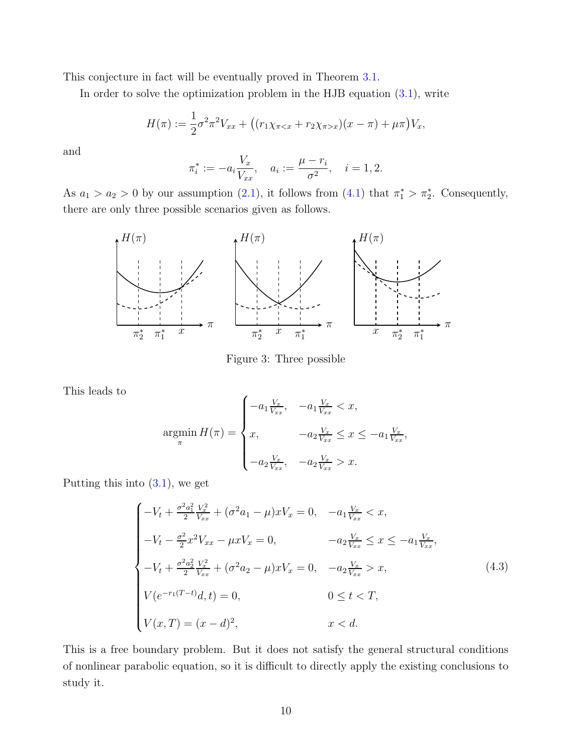This conjecture in fact will be eventually proved in Theorem [3.1.](#page-5-0)

In order to solve the optimization problem in the HJB equation  $(3.1)$ , write

$$
H(\pi) := \frac{1}{2}\sigma^2 \pi^2 V_{xx} + ((r_1 \chi_{\pi < x} + r_2 \chi_{\pi > x})(x - \pi) + \mu \pi) V_x,
$$

and

$$
\pi_i^* := -a_i \frac{V_x}{V_{xx}}, \quad a_i := \frac{\mu - r_i}{\sigma^2}, \quad i = 1, 2.
$$

As  $a_1 > a_2 > 0$  by our assumption [\(2.1\)](#page-4-2), it follows from [\(4.1\)](#page-8-0) that  $\pi_1^* > \pi_2^*$ . Consequently, there are only three possible scenarios given as follows.



<span id="page-9-0"></span>Figure 3: Three possible

This leads to

$$
\underset{\pi}{\operatorname{argmin}} H(\pi) = \begin{cases}\n-a_1 \frac{V_x}{V_{xx}}, & -a_1 \frac{V_x}{V_{xx}} < x, \\
x, & -a_2 \frac{V_x}{V_{xx}} \le x \le -a_1 \frac{V_x}{V_{xx}}, \\
-a_2 \frac{V_x}{V_{xx}}, & -a_2 \frac{V_x}{V_{xx}} > x.\n\end{cases}
$$

Putting this into  $(3.1)$ , we get

$$
\begin{cases}\n-V_t + \frac{\sigma^2 a_1^2 V_x^2}{2 V_{xx}} + (\sigma^2 a_1 - \mu) x V_x = 0, & -a_1 \frac{V_x}{V_{xx}} < x, \\
-V_t - \frac{\sigma^2}{2} x^2 V_{xx} - \mu x V_x = 0, & -a_2 \frac{V_x}{V_{xx}} \le x \le -a_1 \frac{V_x}{V_{xx}}, \\
-V_t + \frac{\sigma^2 a_2^2 V_x^2}{2 V_{xx}} + (\sigma^2 a_2 - \mu) x V_x = 0, & -a_2 \frac{V_x}{V_{xx}} > x, \\
V(e^{-r_1(T-t)}d, t) = 0, & 0 \le t < T, \\
V(x, T) = (x - d)^2, & x < d.\n\end{cases}
$$
\n(4.3)

This is a free boundary problem. But it does not satisfy the general structural conditions of nonlinear parabolic equation, so it is difficult to directly apply the existing conclusions to study it.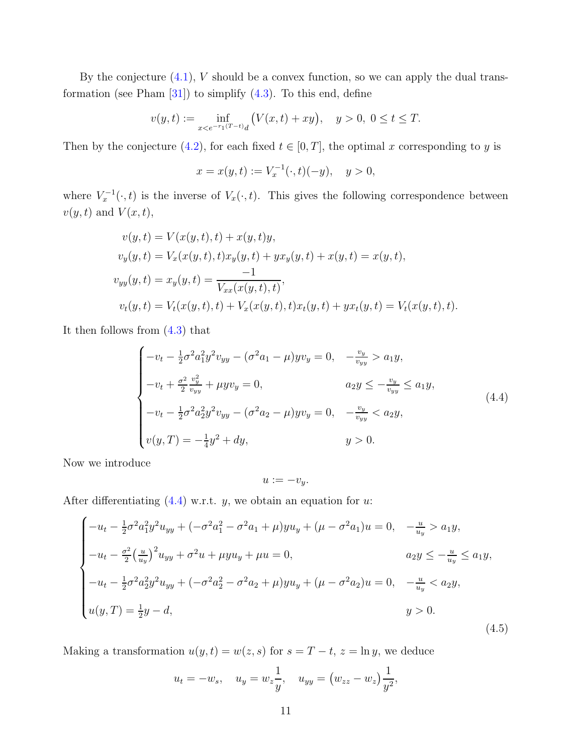<span id="page-10-2"></span>By the conjecture  $(4.1)$ , V should be a convex function, so we can apply the dual transformation (see Pham  $[31]$ ) to simplify  $(4.3)$ . To this end, define

$$
v(y,t) := \inf_{x < e^{-r_1(T-t)}d} \left( V(x,t) + xy \right), \quad y > 0, \ 0 \le t \le T.
$$

Then by the conjecture [\(4.2\)](#page-8-1), for each fixed  $t \in [0, T]$ , the optimal x corresponding to y is

$$
x = x(y, t) := V_x^{-1}(\cdot, t)(-y), \quad y > 0,
$$

where  $V_x^{-1}(\cdot, t)$  is the inverse of  $V_x(\cdot, t)$ . This gives the following correspondence between  $v(y, t)$  and  $V(x, t)$ ,

$$
v(y,t) = V(x(y,t),t) + x(y,t)y,
$$
  
\n
$$
v_y(y,t) = V_x(x(y,t),t)x_y(y,t) + yx_y(y,t) + x(y,t) = x(y,t),
$$
  
\n
$$
v_{yy}(y,t) = x_y(y,t) = \frac{-1}{V_{xx}(x(y,t),t)},
$$
  
\n
$$
v_t(y,t) = V_t(x(y,t),t) + V_x(x(y,t),t)x_t(y,t) + yx_t(y,t) = V_t(x(y,t),t).
$$

It then follows from [\(4.3\)](#page-9-0) that

$$
\begin{cases}\n-v_t - \frac{1}{2}\sigma^2 a_1^2 y^2 v_{yy} - (\sigma^2 a_1 - \mu) y v_y = 0, & -\frac{v_y}{v_{yy}} > a_1 y, \\
-v_t + \frac{\sigma^2}{2} \frac{v_y^2}{v_{yy}} + \mu y v_y = 0, & a_2 y \le -\frac{v_y}{v_{yy}} \le a_1 y, \\
-v_t - \frac{1}{2}\sigma^2 a_2^2 y^2 v_{yy} - (\sigma^2 a_2 - \mu) y v_y = 0, & -\frac{v_y}{v_{yy}} < a_2 y, \\
v(y, T) = -\frac{1}{4}y^2 + dy, & y > 0.\n\end{cases} \tag{4.4}
$$

Now we introduce

<span id="page-10-1"></span><span id="page-10-0"></span>
$$
u:=-v_y.
$$

After differentiating  $(4.4)$  w.r.t. y, we obtain an equation for u:

$$
\begin{cases}\n-u_t - \frac{1}{2}\sigma^2 a_1^2 y^2 u_{yy} + (-\sigma^2 a_1^2 - \sigma^2 a_1 + \mu) y u_y + (\mu - \sigma^2 a_1) u = 0, & -\frac{u}{u_y} > a_1 y, \\
-u_t - \frac{\sigma^2}{2} \left(\frac{u}{u_y}\right)^2 u_{yy} + \sigma^2 u + \mu y u_y + \mu u = 0, & a_2 y \le -\frac{u}{u_y} \le a_1 y, \\
-u_t - \frac{1}{2}\sigma^2 a_2^2 y^2 u_{yy} + (-\sigma^2 a_2^2 - \sigma^2 a_2 + \mu) y u_y + (\mu - \sigma^2 a_2) u = 0, & -\frac{u}{u_y} < a_2 y, \\
u(y, T) = \frac{1}{2}y - d, & y > 0.\n\end{cases}
$$
\n(4.5)

Making a transformation  $u(y, t) = w(z, s)$  for  $s = T - t$ ,  $z = \ln y$ , we deduce

$$
u_t = -w_s
$$
,  $u_y = w_z \frac{1}{y}$ ,  $u_{yy} = (w_{zz} - w_z) \frac{1}{y^2}$ ,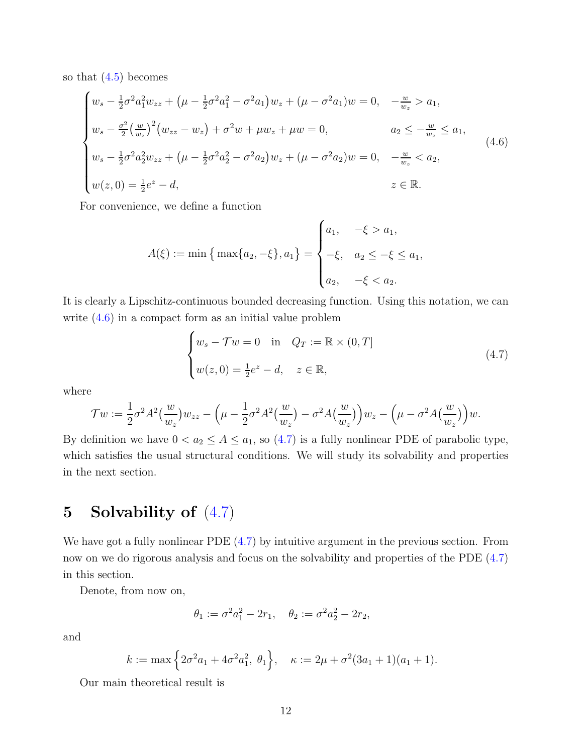so that [\(4.5\)](#page-10-1) becomes

$$
\begin{cases}\nw_s - \frac{1}{2}\sigma^2 a_1^2 w_{zz} + (\mu - \frac{1}{2}\sigma^2 a_1^2 - \sigma^2 a_1)w_z + (\mu - \sigma^2 a_1)w = 0, & -\frac{w}{w_z} > a_1, \\
w_s - \frac{\sigma^2}{2} \left(\frac{w}{w_z}\right)^2 \left(w_{zz} - w_z\right) + \sigma^2 w + \mu w_z + \mu w = 0, & a_2 \le -\frac{w}{w_z} \le a_1, \\
w_s - \frac{1}{2}\sigma^2 a_2^2 w_{zz} + (\mu - \frac{1}{2}\sigma^2 a_2^2 - \sigma^2 a_2)w_z + (\mu - \sigma^2 a_2)w = 0, & -\frac{w}{w_z} < a_2, \\
w(z, 0) = \frac{1}{2}e^z - d, & z \in \mathbb{R}.\n\end{cases} \tag{4.6}
$$

For convenience, we define a function

<span id="page-11-1"></span>
$$
A(\xi) := \min\left\{\max\{a_2, -\xi\}, a_1\right\} = \begin{cases} a_1, & -\xi > a_1, \\ -\xi, & a_2 \le -\xi \le a_1, \\ a_2, & -\xi < a_2. \end{cases}
$$

It is clearly a Lipschitz-continuous bounded decreasing function. Using this notation, we can write [\(4.6\)](#page-11-1) in a compact form as an initial value problem

<span id="page-11-0"></span>
$$
\begin{cases} w_s - \mathcal{T}w = 0 & \text{in} \quad Q_T := \mathbb{R} \times (0, T] \\ w(z, 0) = \frac{1}{2}e^z - d, \quad z \in \mathbb{R}, \end{cases}
$$
 (4.7)

where

$$
\mathcal{T}w := \frac{1}{2}\sigma^2 A^2\left(\frac{w}{w_z}\right)w_{zz} - \left(\mu - \frac{1}{2}\sigma^2 A^2\left(\frac{w}{w_z}\right) - \sigma^2 A\left(\frac{w}{w_z}\right)\right)w_z - \left(\mu - \sigma^2 A\left(\frac{w}{w_z}\right)\right)w.
$$

By definition we have  $0 < a_2 \le A \le a_1$ , so [\(4.7\)](#page-11-0) is a fully nonlinear PDE of parabolic type, which satisfies the usual structural conditions. We will study its solvability and properties in the next section.

## 5 Solvability of [\(4.7\)](#page-11-0)

We have got a fully nonlinear PDE  $(4.7)$  by intuitive argument in the previous section. From now on we do rigorous analysis and focus on the solvability and properties of the PDE  $(4.7)$ in this section.

Denote, from now on,

<span id="page-11-2"></span>
$$
\theta_1 := \sigma^2 a_1^2 - 2r_1, \quad \theta_2 := \sigma^2 a_2^2 - 2r_2,
$$

and

$$
k := \max\left\{2\sigma^2 a_1 + 4\sigma^2 a_1^2, \theta_1\right\}, \quad \kappa := 2\mu + \sigma^2(3a_1 + 1)(a_1 + 1).
$$

Our main theoretical result is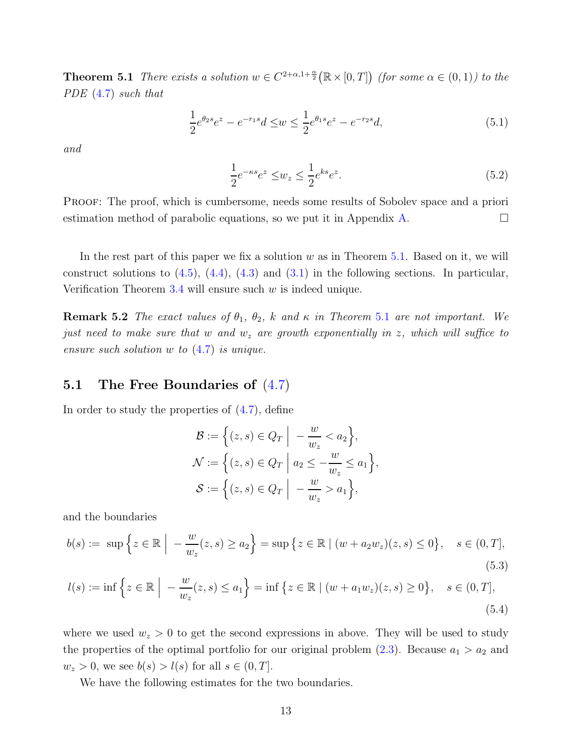**Theorem 5.1** There exists a solution  $w \in C^{2+\alpha,1+\frac{\alpha}{2}}(\mathbb{R} \times [0,T])$  (for some  $\alpha \in (0,1)$ ) to the PDE [\(4.7\)](#page-11-0) such that

$$
\frac{1}{2}e^{\theta_2 s}e^z - e^{-r_1 s}d \le w \le \frac{1}{2}e^{\theta_1 s}e^z - e^{-r_2 s}d,\tag{5.1}
$$

and

<span id="page-12-3"></span><span id="page-12-2"></span>
$$
\frac{1}{2}e^{-\kappa s}e^z \le w_z \le \frac{1}{2}e^{\kappa s}e^z.
$$
\n
$$
(5.2)
$$

Proof: The proof, which is cumbersome, needs some results of Sobolev space and a priori estimation method of parabolic equations, so we put it in Appendix [A.](#page-23-0)  $\Box$ 

In the rest part of this paper we fix a solution  $w$  as in Theorem [5.1.](#page-11-2) Based on it, we will construct solutions to  $(4.5)$ ,  $(4.4)$ ,  $(4.3)$  and  $(3.1)$  in the following sections. In particular, Verification Theorem  $3.4$  will ensure such w is indeed unique.

**Remark 5.2** The exact values of  $\theta_1$ ,  $\theta_2$ , k and  $\kappa$  in Theorem [5.1](#page-11-2) are not important. We just need to make sure that w and  $w_z$  are growth exponentially in z, which will suffice to ensure such solution  $w$  to  $(4.7)$  is unique.

#### 5.1 The Free Boundaries of  $(4.7)$

In order to study the properties of [\(4.7\)](#page-11-0), define

<span id="page-12-1"></span><span id="page-12-0"></span>
$$
\mathcal{B} := \left\{ (z, s) \in Q_T \middle| \ -\frac{w}{w_z} < a_2 \right\},\
$$
\n
$$
\mathcal{N} := \left\{ (z, s) \in Q_T \middle| \ a_2 \le -\frac{w}{w_z} \le a_1 \right\},\
$$
\n
$$
\mathcal{S} := \left\{ (z, s) \in Q_T \middle| \ -\frac{w}{w_z} > a_1 \right\},\
$$

and the boundaries

$$
b(s) := \sup \left\{ z \in \mathbb{R} \; \Big| \; -\frac{w}{w_z}(z, s) \ge a_2 \right\} = \sup \left\{ z \in \mathbb{R} \; | \; (w + a_2 w_z)(z, s) \le 0 \right\}, \quad s \in (0, T],
$$
\n
$$
(5.3)
$$

$$
l(s) := \inf \left\{ z \in \mathbb{R} \mid -\frac{w}{w_z}(z, s) \le a_1 \right\} = \inf \left\{ z \in \mathbb{R} \mid (w + a_1 w_z)(z, s) \ge 0 \right\}, \quad s \in (0, T],
$$
\n(5.4)

where we used  $w_z > 0$  to get the second expressions in above. They will be used to study the properties of the optimal portfolio for our original problem  $(2.3)$ . Because  $a_1 > a_2$  and  $w_z > 0$ , we see  $b(s) > l(s)$  for all  $s \in (0, T]$ .

We have the following estimates for the two boundaries.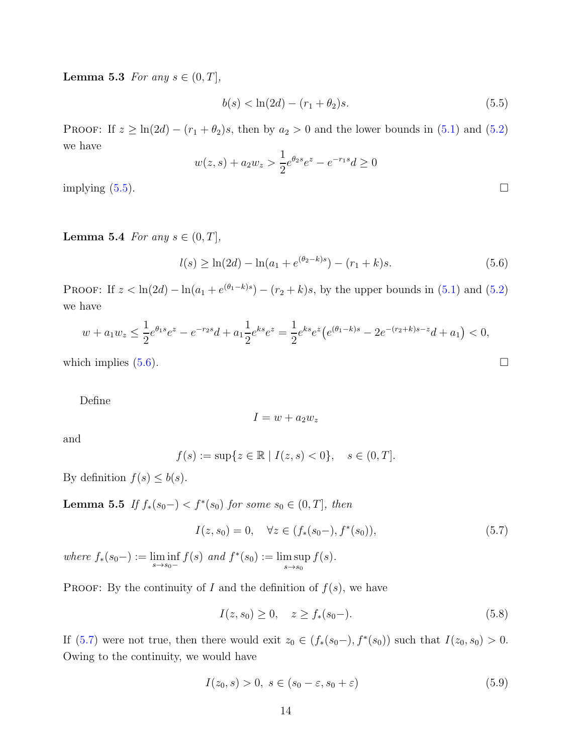**Lemma 5.3** For any  $s \in (0, T]$ ,

<span id="page-13-0"></span>
$$
b(s) < \ln(2d) - (r_1 + \theta_2)s. \tag{5.5}
$$

PROOF: If  $z \geq \ln(2d) - (r_1 + \theta_2)s$ , then by  $a_2 > 0$  and the lower bounds in [\(5.1\)](#page-12-2) and [\(5.2\)](#page-12-3) we have

$$
w(z,s) + a_2 w_z > \frac{1}{2} e^{\theta_2 s} e^z - e^{-r_1 s} d \ge 0
$$
  
implying (5.5).

Lemma 5.4 For any  $s \in (0, T]$ ,

$$
l(s) \ge \ln(2d) - \ln(a_1 + e^{(\theta_2 - k)s}) - (r_1 + k)s. \tag{5.6}
$$

PROOF: If  $z < \ln(2d) - \ln(a_1 + e^{(\theta_1 - k)s}) - (r_2 + k)s$ , by the upper bounds in [\(5.1\)](#page-12-2) and [\(5.2\)](#page-12-3) we have

$$
w + a_1 w_z \le \frac{1}{2} e^{\theta_1 s} e^z - e^{-r_2 s} d + a_1 \frac{1}{2} e^{ks} e^z = \frac{1}{2} e^{ks} e^z \left( e^{(\theta_1 - k)s} - 2e^{-(r_2 + k)s - z} d + a_1 \right) < 0,
$$
\nwhich implies (5.6).

\n
$$
\Box
$$

Define

$$
I = w + a_2 w_z
$$

and

$$
f(s) := \sup\{z \in \mathbb{R} \mid I(z, s) < 0\}, \quad s \in (0, T].
$$

<span id="page-13-4"></span>By definition  $f(s) \leq b(s)$ .

**Lemma 5.5** If  $f_*(s_0-) < f^*(s_0)$  for some  $s_0 \in (0,T]$ , then

$$
I(z, s_0) = 0, \quad \forall z \in (f_*(s_0-), f^*(s_0)), \tag{5.7}
$$

where  $f_*(s_0-) := \liminf_{s \to s_0-} f(s)$  and  $f^*(s_0) := \limsup_{s \to s_0-}$  $s\rightarrow s_0$  $f(s)$ .

PROOF: By the continuity of I and the definition of  $f(s)$ , we have

$$
I(z, s_0) \ge 0, \quad z \ge f_*(s_0 -). \tag{5.8}
$$

If  $(5.7)$  were not true, then there would exit  $z_0 \in (f_*(s_0-), f^*(s_0))$  such that  $I(z_0, s_0) > 0$ . Owing to the continuity, we would have

<span id="page-13-3"></span>
$$
I(z_0, s) > 0, \ s \in (s_0 - \varepsilon, s_0 + \varepsilon) \tag{5.9}
$$

<span id="page-13-2"></span><span id="page-13-1"></span>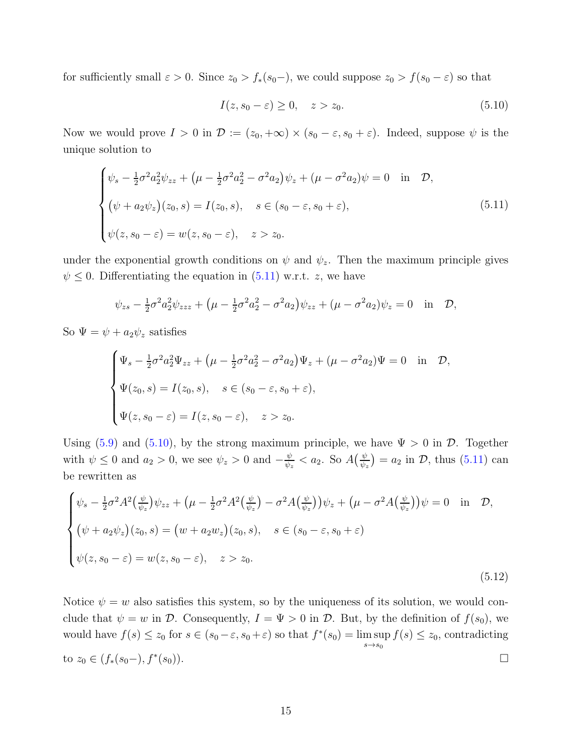for sufficiently small  $\varepsilon > 0$ . Since  $z_0 > f_*(s_0-)$ , we could suppose  $z_0 > f(s_0 - \varepsilon)$  so that

<span id="page-14-1"></span><span id="page-14-0"></span>
$$
I(z, s_0 - \varepsilon) \ge 0, \quad z > z_0. \tag{5.10}
$$

Now we would prove  $I > 0$  in  $\mathcal{D} := (z_0, +\infty) \times (s_0 - \varepsilon, s_0 + \varepsilon)$ . Indeed, suppose  $\psi$  is the unique solution to

$$
\begin{cases}\n\psi_s - \frac{1}{2}\sigma^2 a_2^2 \psi_{zz} + (\mu - \frac{1}{2}\sigma^2 a_2^2 - \sigma^2 a_2) \psi_z + (\mu - \sigma^2 a_2) \psi = 0 & \text{in } \mathcal{D}, \\
(\psi + a_2 \psi_z)(z_0, s) = I(z_0, s), \quad s \in (s_0 - \varepsilon, s_0 + \varepsilon), \\
\psi(z, s_0 - \varepsilon) = w(z, s_0 - \varepsilon), \quad z > z_0.\n\end{cases}
$$
\n(5.11)

under the exponential growth conditions on  $\psi$  and  $\psi_z$ . Then the maximum principle gives  $\psi \leq 0$ . Differentiating the equation in [\(5.11\)](#page-14-0) w.r.t. z, we have

$$
\psi_{zs} - \frac{1}{2}\sigma^2 a_2^2 \psi_{zzz} + (\mu - \frac{1}{2}\sigma^2 a_2^2 - \sigma^2 a_2) \psi_{zz} + (\mu - \sigma^2 a_2) \psi_z = 0 \text{ in } \mathcal{D},
$$

So  $\Psi = \psi + a_2 \psi_z$  satisfies

$$
\begin{cases} \Psi_s - \frac{1}{2}\sigma^2 a_2^2 \Psi_{zz} + (\mu - \frac{1}{2}\sigma^2 a_2^2 - \sigma^2 a_2) \Psi_z + (\mu - \sigma^2 a_2) \Psi = 0 & \text{in } \mathcal{D}, \\ \Psi(z_0, s) = I(z_0, s), \quad s \in (s_0 - \varepsilon, s_0 + \varepsilon), \\ \Psi(z, s_0 - \varepsilon) = I(z, s_0 - \varepsilon), \quad z > z_0. \end{cases}
$$

Using [\(5.9\)](#page-13-3) and [\(5.10\)](#page-14-1), by the strong maximum principle, we have  $\Psi > 0$  in  $D$ . Together with  $\psi \leq 0$  and  $a_2 > 0$ , we see  $\psi_z > 0$  and  $-\frac{\psi}{\psi_z}$  $\frac{\psi}{\psi_z} < a_2$ . So  $A\left(\frac{\psi}{\psi_z}\right)$  $(\frac{\psi}{\psi_z}) = a_2$  in  $\mathcal{D}$ , thus [\(5.11\)](#page-14-0) can be rewritten as

$$
\begin{cases}\n\psi_s - \frac{1}{2}\sigma^2 A^2 \left(\frac{\psi}{\psi_z}\right) \psi_{zz} + \left(\mu - \frac{1}{2}\sigma^2 A^2 \left(\frac{\psi}{\psi_z}\right) - \sigma^2 A \left(\frac{\psi}{\psi_z}\right)\right) \psi_z + \left(\mu - \sigma^2 A \left(\frac{\psi}{\psi_z}\right)\right) \psi = 0 & \text{in } \mathcal{D}, \\
(\psi + a_2 \psi_z)(z_0, s) = \left(w + a_2 w_z\right)(z_0, s), \quad s \in (s_0 - \varepsilon, s_0 + \varepsilon) \\
\psi(z, s_0 - \varepsilon) = w(z, s_0 - \varepsilon), \quad z > z_0.\n\end{cases}
$$
\n(5.12)

<span id="page-14-2"></span>Notice  $\psi = w$  also satisfies this system, so by the uniqueness of its solution, we would conclude that  $\psi = w$  in D. Consequently,  $I = \Psi > 0$  in D. But, by the definition of  $f(s_0)$ , we would have  $f(s) \leq z_0$  for  $s \in (s_0 - \varepsilon, s_0 + \varepsilon)$  so that  $f^*(s_0) = \limsup$  $s\rightarrow s_0$  $f(s) \leq z_0$ , contradicting to  $z_0 \in (f_*(s_0-), f^*(s_0)).$  $(s_0)$ ).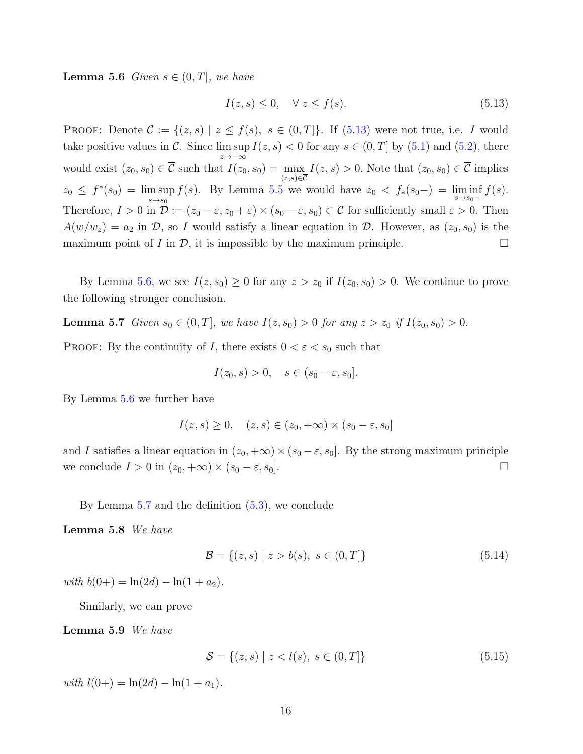**Lemma 5.6** Given  $s \in (0, T]$ , we have

<span id="page-15-0"></span>
$$
I(z,s) \le 0, \quad \forall \ z \le f(s). \tag{5.13}
$$

PROOF: Denote  $\mathcal{C} := \{(z, s) | z \leq f(s), s \in (0, T]\}.$  If [\(5.13\)](#page-15-0) were not true, i.e. I would take positive values in  $\mathcal{C}$ . Since lim sup z→−∞  $I(z, s) < 0$  for any  $s \in (0, T]$  by  $(5.1)$  and  $(5.2)$ , there would exist  $(z_0, s_0) \in \mathcal{C}$  such that  $I(z_0, s_0) = \max_{(z, s) \in \overline{\mathcal{C}}} I(z, s) > 0$ . Note that  $(z_0, s_0) \in \mathcal{C}$  implies  $z_0 \leq f^*(s_0) = \limsup$  $s\rightarrow s_0$  $f(s)$ . By Lemma [5.5](#page-13-4) we would have  $z_0 < f_*(s_0-) = \liminf_{s \to s_0-} f(s)$ . Therefore,  $I > 0$  in  $\mathcal{D} := (z_0 - \varepsilon, z_0 + \varepsilon) \times (s_0 - \varepsilon, s_0) \subset \mathcal{C}$  for sufficiently small  $\varepsilon > 0$ . Then  $A(w/w_z) = a_2$  in D, so I would satisfy a linear equation in D. However, as  $(z_0, s_0)$  is the maximum point of I in  $\mathcal{D}$ , it is impossible by the maximum principle.

By Lemma [5.6,](#page-14-2) we see  $I(z, s_0) \geq 0$  for any  $z > z_0$  if  $I(z_0, s_0) > 0$ . We continue to prove the following stronger conclusion.

**Lemma 5.7** Given  $s_0 \in (0, T]$ , we have  $I(z, s_0) > 0$  for any  $z > z_0$  if  $I(z_0, s_0) > 0$ .

**PROOF:** By the continuity of I, there exists  $0 < \varepsilon < s_0$  such that

<span id="page-15-1"></span>
$$
I(z_0, s) > 0, \quad s \in (s_0 - \varepsilon, s_0].
$$

By Lemma [5.6](#page-14-2) we further have

$$
I(z, s) \ge 0, \quad (z, s) \in (z_0, +\infty) \times (s_0 - \varepsilon, s_0]
$$

and I satisfies a linear equation in  $(z_0, +\infty) \times (s_0 - \varepsilon, s_0]$ . By the strong maximum principle we conclude  $I > 0$  in  $(z_0, +\infty) \times (s_0 - \varepsilon, s_0]$ .

By Lemma [5.7](#page-15-1) and the definition [\(5.3\)](#page-12-0), we conclude

Lemma 5.8 We have

<span id="page-15-3"></span><span id="page-15-2"></span>
$$
\mathcal{B} = \{(z, s) \mid z > b(s), \ s \in (0, T] \}
$$
\n
$$
(5.14)
$$

with  $b(0+) = \ln(2d) - \ln(1 + a_2)$ .

Similarly, we can prove

Lemma 5.9 We have

$$
S = \{(z, s) \mid z < l(s), \ s \in (0, T] \} \tag{5.15}
$$

with  $l(0+) = \ln(2d) - \ln(1 + a_1)$ .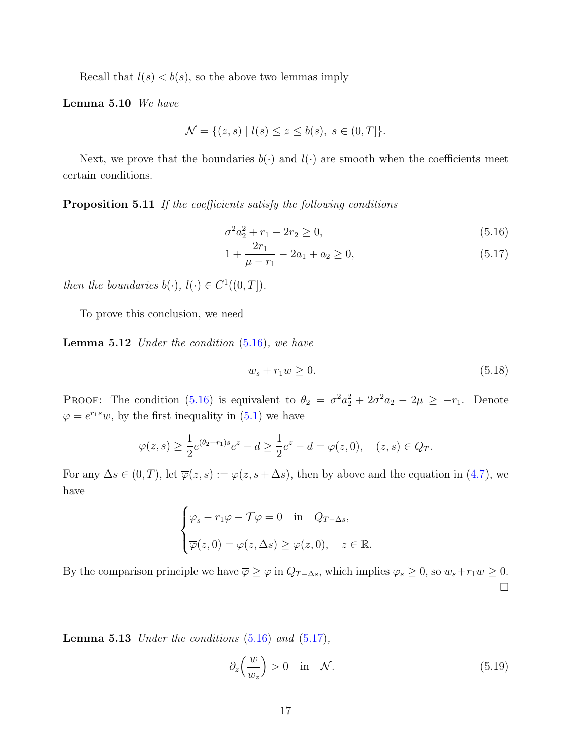Recall that  $l(s) < b(s)$ , so the above two lemmas imply

Lemma 5.10 We have

$$
\mathcal{N} = \{(z, s) \mid l(s) \le z \le b(s), \ s \in (0, T] \}.
$$

<span id="page-16-0"></span>Next, we prove that the boundaries  $b(\cdot)$  and  $l(\cdot)$  are smooth when the coefficients meet certain conditions.

Proposition 5.11 If the coefficients satisfy the following conditions

<span id="page-16-1"></span>
$$
\sigma^2 a_2^2 + r_1 - 2r_2 \ge 0,\tag{5.16}
$$

$$
1 + \frac{2r_1}{\mu - r_1} - 2a_1 + a_2 \ge 0,\tag{5.17}
$$

then the boundaries  $b(\cdot), l(\cdot) \in C^1((0,T])$ .

<span id="page-16-2"></span>To prove this conclusion, we need

**Lemma 5.12** Under the condition  $(5.16)$ , we have

$$
w_s + r_1 w \ge 0. \tag{5.18}
$$

PROOF: The condition [\(5.16\)](#page-16-1) is equivalent to  $\theta_2 = \sigma^2 a_2^2 + 2\sigma^2 a_2 - 2\mu \geq -r_1$ . Denote  $\varphi = e^{r_1 s} w$ , by the first inequality in [\(5.1\)](#page-12-2) we have

$$
\varphi(z,s) \ge \frac{1}{2} e^{(\theta_2 + r_1)s} e^z - d \ge \frac{1}{2} e^z - d = \varphi(z,0), \quad (z,s) \in Q_T.
$$

For any  $\Delta s \in (0, T)$ , let  $\overline{\varphi}(z, s) := \varphi(z, s + \Delta s)$ , then by above and the equation in [\(4.7\)](#page-11-0), we have

$$
\begin{cases} \overline{\varphi}_s - r_1 \overline{\varphi} - \mathcal{T} \overline{\varphi} = 0 & \text{in} \quad Q_{T-\Delta s}, \\ \overline{\varphi}(z, 0) = \varphi(z, \Delta s) \ge \varphi(z, 0), \quad z \in \mathbb{R}. \end{cases}
$$

By the comparison principle we have  $\overline{\varphi} \geq \varphi$  in  $Q_{T-\Delta s}$ , which implies  $\varphi_s \geq 0$ , so  $w_s + r_1w \geq 0$ .  $\Box$ 

**Lemma 5.13** Under the conditions  $(5.16)$  and  $(5.17)$ ,

$$
\partial_z \left( \frac{w}{w_z} \right) > 0 \quad \text{in} \quad \mathcal{N}.\tag{5.19}
$$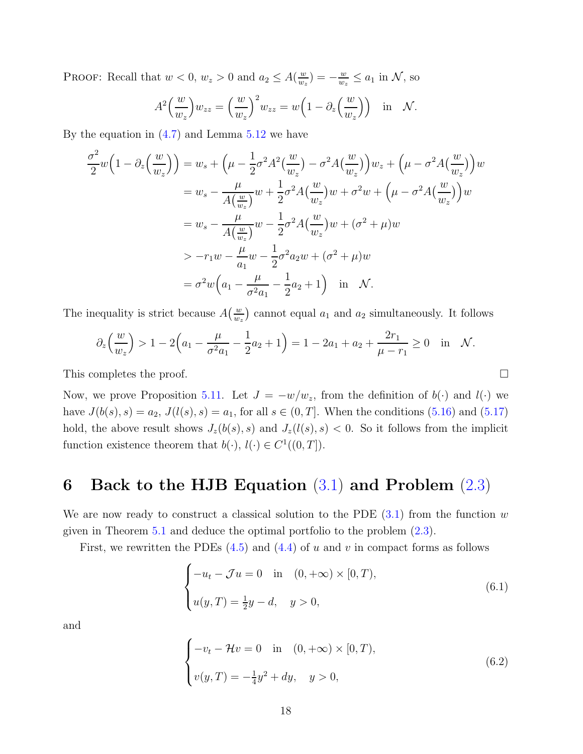PROOF: Recall that  $w < 0$ ,  $w_z > 0$  and  $a_2 \leq A(\frac{w}{w_z})$  $\frac{w}{w_z}$ ) =  $-\frac{w}{w_z}$  $\frac{w}{w_z} \le a_1$  in  $\mathcal{N}$ , so

$$
A^{2}\left(\frac{w}{w_{z}}\right)w_{zz} = \left(\frac{w}{w_{z}}\right)^{2} w_{zz} = w\left(1 - \partial_{z}\left(\frac{w}{w_{z}}\right)\right) \text{ in } \mathcal{N}.
$$

By the equation in  $(4.7)$  and Lemma  $5.12$  we have

$$
\frac{\sigma^2}{2} w \Big( 1 - \partial_z \Big( \frac{w}{w_z} \Big) \Big) = w_s + \Big( \mu - \frac{1}{2} \sigma^2 A^2 \Big( \frac{w}{w_z} \Big) - \sigma^2 A \Big( \frac{w}{w_z} \Big) \Big) w_z + \Big( \mu - \sigma^2 A \Big( \frac{w}{w_z} \Big) \Big) w
$$
  
\n
$$
= w_s - \frac{\mu}{A \Big( \frac{w}{w_z} \Big)} w + \frac{1}{2} \sigma^2 A \Big( \frac{w}{w_z} \Big) w + \sigma^2 w + \Big( \mu - \sigma^2 A \Big( \frac{w}{w_z} \Big) \Big) w
$$
  
\n
$$
= w_s - \frac{\mu}{A \Big( \frac{w}{w_z} \Big)} w - \frac{1}{2} \sigma^2 A \Big( \frac{w}{w_z} \Big) w + (\sigma^2 + \mu) w
$$
  
\n
$$
> -r_1 w - \frac{\mu}{a_1} w - \frac{1}{2} \sigma^2 a_2 w + (\sigma^2 + \mu) w
$$
  
\n
$$
= \sigma^2 w \Big( a_1 - \frac{\mu}{\sigma^2 a_1} - \frac{1}{2} a_2 + 1 \Big) \quad \text{in} \quad \mathcal{N}.
$$

The inequality is strict because  $A\left(\frac{w}{w}\right)$  $\frac{w}{w_z}$  cannot equal  $a_1$  and  $a_2$  simultaneously. It follows

$$
\partial_z \left( \frac{w}{w_z} \right) > 1 - 2 \left( a_1 - \frac{\mu}{\sigma^2 a_1} - \frac{1}{2} a_2 + 1 \right) = 1 - 2a_1 + a_2 + \frac{2r_1}{\mu - r_1} \ge 0 \quad \text{in} \quad \mathcal{N}.
$$

This completes the proof.

Now, we prove Proposition [5.11.](#page-16-0) Let  $J = -w/w_z$ , from the definition of  $b(\cdot)$  and  $l(\cdot)$  we have  $J(b(s), s) = a_2, J(l(s), s) = a_1$ , for all  $s \in (0, T]$ . When the conditions [\(5.16\)](#page-16-1) and [\(5.17\)](#page-16-1) hold, the above result shows  $J_z(b(s), s)$  and  $J_z(l(s), s) < 0$ . So it follows from the implicit function existence theorem that  $b(\cdot), l(\cdot) \in C^1((0,T])$ .

### <span id="page-17-0"></span>6 Back to the HJB Equation  $(3.1)$  and Problem  $(2.3)$

We are now ready to construct a classical solution to the PDE  $(3.1)$  from the function w given in Theorem [5.1](#page-11-2) and deduce the optimal portfolio to the problem [\(2.3\)](#page-4-1).

First, we rewritten the PDEs  $(4.5)$  and  $(4.4)$  of u and v in compact forms as follows

$$
\begin{cases}\n-u_t - \mathcal{J}u = 0 & \text{in} \quad (0, +\infty) \times [0, T), \\
u(y, T) = \frac{1}{2}y - d, \quad y > 0,\n\end{cases}
$$
\n(6.1)

and

$$
\begin{cases}\n-v_t - \mathcal{H}v = 0 & \text{in} \quad (0, +\infty) \times [0, T), \\
v(y, T) = -\frac{1}{4}y^2 + dy, \quad y > 0,\n\end{cases}
$$
\n(6.2)

<span id="page-17-2"></span><span id="page-17-1"></span>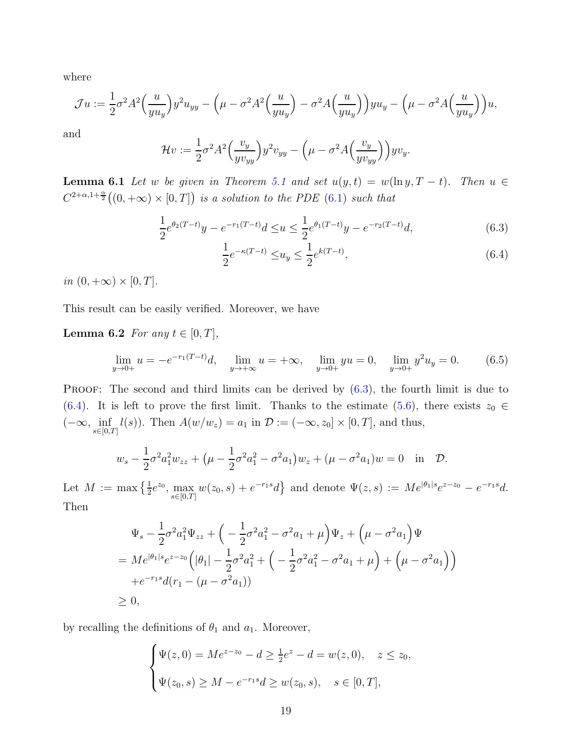where

$$
\mathcal{J}u := \frac{1}{2}\sigma^2 A^2 \left(\frac{u}{y u_y}\right) y^2 u_{yy} - \left(\mu - \sigma^2 A^2 \left(\frac{u}{y u_y}\right) - \sigma^2 A \left(\frac{u}{y u_y}\right) \right) y u_y - \left(\mu - \sigma^2 A \left(\frac{u}{y u_y}\right) \right) u,
$$

and

$$
\mathcal{H}v := \frac{1}{2}\sigma^2 A^2 \left(\frac{v_y}{yv_{yy}}\right) y^2 v_{yy} - \left(\mu - \sigma^2 A \left(\frac{v_y}{yv_{yy}}\right)\right) yv_y.
$$

<span id="page-18-2"></span>**Lemma 6.1** Let w be given in Theorem [5.1](#page-11-2) and set  $u(y,t) = w(\ln y, T - t)$ . Then  $u \in$  $C^{2+\alpha,1+\frac{\alpha}{2}}((0,+\infty)\times[0,T])$  is a solution to the PDE [\(6.1\)](#page-17-1) such that

$$
\frac{1}{2}e^{\theta_2(T-t)}y - e^{-r_1(T-t)}d \le u \le \frac{1}{2}e^{\theta_1(T-t)}y - e^{-r_2(T-t)}d,\tag{6.3}
$$

<span id="page-18-3"></span><span id="page-18-1"></span><span id="page-18-0"></span>
$$
\frac{1}{2}e^{-\kappa(T-t)} \le u_y \le \frac{1}{2}e^{k(T-t)},\tag{6.4}
$$

in  $(0, +\infty) \times [0, T]$ .

This result can be easily verified. Moreover, we have

#### **Lemma 6.2** For any  $t \in [0, T]$ ,

$$
\lim_{y \to 0+} u = -e^{-r_1(T-t)}d, \quad \lim_{y \to +\infty} u = +\infty, \quad \lim_{y \to 0+} yu = 0, \quad \lim_{y \to 0+} y^2 u_y = 0.
$$
 (6.5)

**PROOF:** The second and third limits can be derived by  $(6.3)$ , the fourth limit is due to [\(6.4\)](#page-18-1). It is left to prove the first limit. Thanks to the estimate [\(5.6\)](#page-13-1), there exists  $z_0 \in$  $(-\infty, \inf_{s\in[0,T]}l(s))$ . Then  $A(w/w_z) = a_1$  in  $\mathcal{D} := (-\infty, z_0] \times [0,T]$ , and thus,

$$
w_s - \frac{1}{2}\sigma^2 a_1^2 w_{zz} + \left(\mu - \frac{1}{2}\sigma^2 a_1^2 - \sigma^2 a_1\right) w_z + \left(\mu - \sigma^2 a_1\right) w = 0 \quad \text{in} \quad \mathcal{D}.
$$

Let  $M := \max\left\{\frac{1}{2}e^{z_0}, \max_{s \in [0,T]} w(z_0, s) + e^{-r_1s}d\right\}$  and denote  $\Psi(z, s) := Me^{|\theta_1|s}e^{z-z_0} - e^{-r_1s}d$ . Then

$$
\Psi_s - \frac{1}{2}\sigma^2 a_1^2 \Psi_{zz} + \left( -\frac{1}{2}\sigma^2 a_1^2 - \sigma^2 a_1 + \mu \right) \Psi_z + \left( \mu - \sigma^2 a_1 \right) \Psi
$$
\n
$$
= Me^{|\theta_1|s} e^{z - z_0} \left( |\theta_1| - \frac{1}{2}\sigma^2 a_1^2 + \left( -\frac{1}{2}\sigma^2 a_1^2 - \sigma^2 a_1 + \mu \right) + \left( \mu - \sigma^2 a_1 \right) \right)
$$
\n
$$
+ e^{-r_1 s} d(r_1 - (\mu - \sigma^2 a_1))
$$
\n
$$
\geq 0,
$$

by recalling the definitions of  $\theta_1$  and  $a_1$ . Moreover,

$$
\begin{cases} \Psi(z,0) = Me^{z-z_0} - d \ge \frac{1}{2}e^z - d = w(z,0), \quad z \le z_0, \\ \Psi(z_0,s) \ge M - e^{-r_1s}d \ge w(z_0,s), \quad s \in [0,T], \end{cases}
$$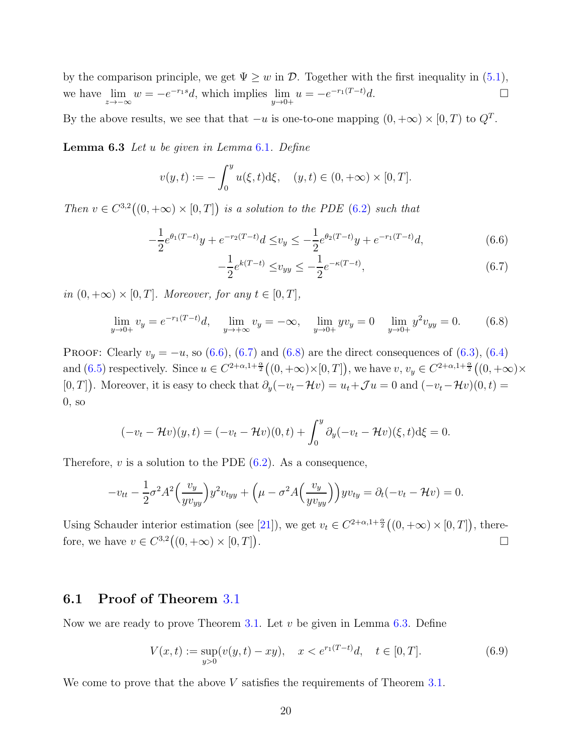<span id="page-19-5"></span>by the comparison principle, we get  $\Psi \geq w$  in  $\mathcal{D}$ . Together with the first inequality in [\(5.1\)](#page-12-2), we have  $\lim_{z \to -\infty} w = -e^{-r_1 s} d$ , which implies  $\lim_{y \to 0+} u = -e^{-r_1(T-t)} d$ .

<span id="page-19-4"></span>By the above results, we see that that  $-u$  is one-to-one mapping  $(0, +\infty) \times [0, T)$  to  $Q^T$ .

Lemma 6.3 Let u be given in Lemma [6.1](#page-18-2). Define

$$
v(y,t) := -\int_0^y u(\xi, t) d\xi, \quad (y,t) \in (0, +\infty) \times [0, T].
$$

Then  $v \in C^{3,2}((0, +\infty) \times [0,T])$  is a solution to the PDE [\(6.2\)](#page-17-2) such that

$$
-\frac{1}{2}e^{\theta_1(T-t)}y + e^{-r_2(T-t)}d \leq v_y \leq -\frac{1}{2}e^{\theta_2(T-t)}y + e^{-r_1(T-t)}d,\tag{6.6}
$$

<span id="page-19-3"></span><span id="page-19-2"></span><span id="page-19-1"></span>
$$
-\frac{1}{2}e^{k(T-t)} \le v_{yy} \le -\frac{1}{2}e^{-\kappa(T-t)},\tag{6.7}
$$

in  $(0, +\infty) \times [0, T]$ . Moreover, for any  $t \in [0, T]$ ,

$$
\lim_{y \to 0+} v_y = e^{-r_1(T-t)}d, \quad \lim_{y \to +\infty} v_y = -\infty, \quad \lim_{y \to 0+} yv_y = 0 \quad \lim_{y \to 0+} y^2 v_{yy} = 0.
$$
 (6.8)

PROOF: Clearly  $v_y = -u$ , so [\(6.6\)](#page-19-1), [\(6.7\)](#page-19-2) and [\(6.8\)](#page-19-3) are the direct consequences of [\(6.3\)](#page-18-0), [\(6.4\)](#page-18-1) and  $(6.5)$  respectively. Since  $u \in C^{2+\alpha,1+\frac{\alpha}{2}}((0,+\infty)\times[0,T])$ , we have  $v, v_y \in C^{2+\alpha,1+\frac{\alpha}{2}}((0,+\infty)\times$ [0, T]). Moreover, it is easy to check that  $\partial_y(-v_t-\mathcal{H}v)=u_t+\mathcal{J}u=0$  and  $(-v_t-\mathcal{H}v)(0,t)=$  $0$ , so

$$
(-v_t - \mathcal{H}v)(y,t) = (-v_t - \mathcal{H}v)(0,t) + \int_0^y \partial_y (-v_t - \mathcal{H}v)(\xi, t) d\xi = 0.
$$

Therefore,  $v$  is a solution to the PDE  $(6.2)$ . As a consequence,

$$
-v_{tt} - \frac{1}{2}\sigma^2 A^2 \left(\frac{v_y}{yv_{yy}}\right) y^2 v_{tyy} + \left(\mu - \sigma^2 A \left(\frac{v_y}{yv_{yy}}\right)\right) yv_{ty} = \partial_t (-v_t - \mathcal{H}v) = 0.
$$

Using Schauder interior estimation (see [\[21\]](#page-30-11)), we get  $v_t \in C^{2+\alpha,1+\frac{\alpha}{2}}((0,+\infty) \times [0,T])$ , therefore, we have  $v \in C^{3,2}((0, +\infty) \times [0, T])$ .

#### <span id="page-19-0"></span>6.1 Proof of Theorem [3.1](#page-5-0)

Now we are ready to prove Theorem [3.1.](#page-5-0) Let  $v$  be given in Lemma [6.3.](#page-19-4) Define

$$
V(x,t) := \sup_{y>0} (v(y,t) - xy), \quad x < e^{r_1(T-t)}d, \quad t \in [0,T].
$$
\n(6.9)

We come to prove that the above  $V$  satisfies the requirements of Theorem [3.1.](#page-5-0)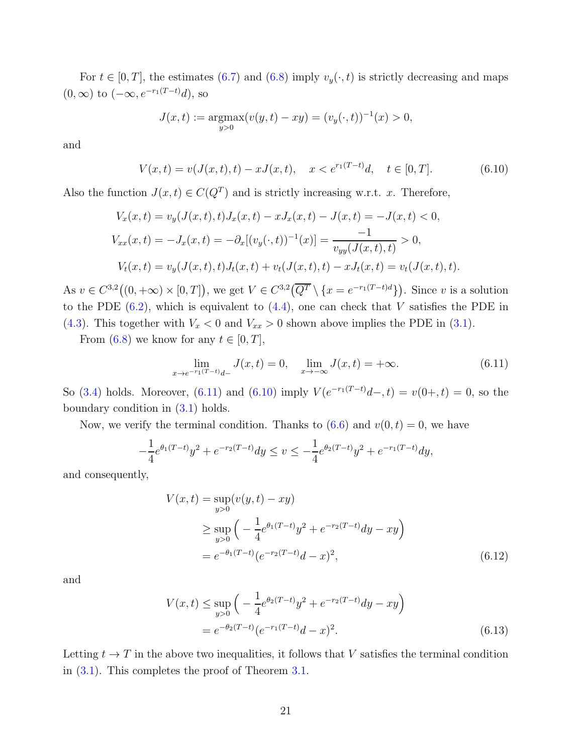For  $t \in [0, T]$ , the estimates [\(6.7\)](#page-19-2) and [\(6.8\)](#page-19-3) imply  $v_y(\cdot, t)$  is strictly decreasing and maps  $(0, \infty)$  to  $(-\infty, e^{-r_1(T-t)}d)$ , so

<span id="page-20-1"></span>
$$
J(x,t) := \underset{y>0}{\text{argmax}} (v(y,t) - xy) = (v_y(\cdot,t))^{-1}(x) > 0,
$$

and

$$
V(x,t) = v(J(x,t),t) - xJ(x,t), \quad x < e^{r_1(T-t)}d, \quad t \in [0,T].
$$
\n(6.10)

Also the function  $J(x,t) \in C(Q^T)$  and is strictly increasing w.r.t. x. Therefore,

$$
V_x(x,t) = v_y(J(x,t),t)J_x(x,t) - xJ_x(x,t) - J(x,t) = -J(x,t) < 0,
$$
  
\n
$$
V_{xx}(x,t) = -J_x(x,t) = -\partial_x[(v_y(\cdot,t))^{-1}(x)] = \frac{-1}{v_{yy}(J(x,t),t)} > 0,
$$
  
\n
$$
V_t(x,t) = v_y(J(x,t),t)J_t(x,t) + v_t(J(x,t),t) - xJ_t(x,t) = v_t(J(x,t),t).
$$

As  $v \in C^{3,2}((0, +\infty) \times [0, T])$ , we get  $V \in C^{3,2}(\overline{Q^T} \setminus \{x = e^{-r_1(T-t)d}\})$ . Since v is a solution to the PDE  $(6.2)$ , which is equivalent to  $(4.4)$ , one can check that V satisfies the PDE in [\(4.3\)](#page-9-0). This together with  $V_x < 0$  and  $V_{xx} > 0$  shown above implies the PDE in [\(3.1\)](#page-5-1).

From [\(6.8\)](#page-19-3) we know for any  $t \in [0, T]$ ,

<span id="page-20-0"></span>
$$
\lim_{x \to e^{-r_1(T-t)}d-} J(x,t) = 0, \quad \lim_{x \to -\infty} J(x,t) = +\infty.
$$
\n(6.11)

So [\(3.4\)](#page-5-2) holds. Moreover, [\(6.11\)](#page-20-0) and [\(6.10\)](#page-20-1) imply  $V(e^{-r_1(T-t)}d-, t) = v(0+, t) = 0$ , so the boundary condition in [\(3.1\)](#page-5-1) holds.

Now, we verify the terminal condition. Thanks to  $(6.6)$  and  $v(0, t) = 0$ , we have

$$
-\frac{1}{4}e^{\theta_1(T-t)}y^2 + e^{-r_2(T-t)}dy \le v \le -\frac{1}{4}e^{\theta_2(T-t)}y^2 + e^{-r_1(T-t)}dy,
$$

and consequently,

<span id="page-20-2"></span>
$$
V(x,t) = \sup_{y>0} (v(y,t) - xy)
$$
  
\n
$$
\geq \sup_{y>0} \left( -\frac{1}{4} e^{\theta_1(T-t)} y^2 + e^{-r_2(T-t)} dy - xy \right)
$$
  
\n
$$
= e^{-\theta_1(T-t)} (e^{-r_2(T-t)} d - x)^2,
$$
\n(6.12)

and

<span id="page-20-3"></span>
$$
V(x,t) \le \sup_{y>0} \left( -\frac{1}{4} e^{\theta_2(T-t)} y^2 + e^{-r_2(T-t)} dy - xy \right)
$$
  
=  $e^{-\theta_2(T-t)} (e^{-r_1(T-t)} d - x)^2$ . (6.13)

Letting  $t \to T$  in the above two inequalities, it follows that V satisfies the terminal condition in [\(3.1\)](#page-5-1). This completes the proof of Theorem [3.1.](#page-5-0)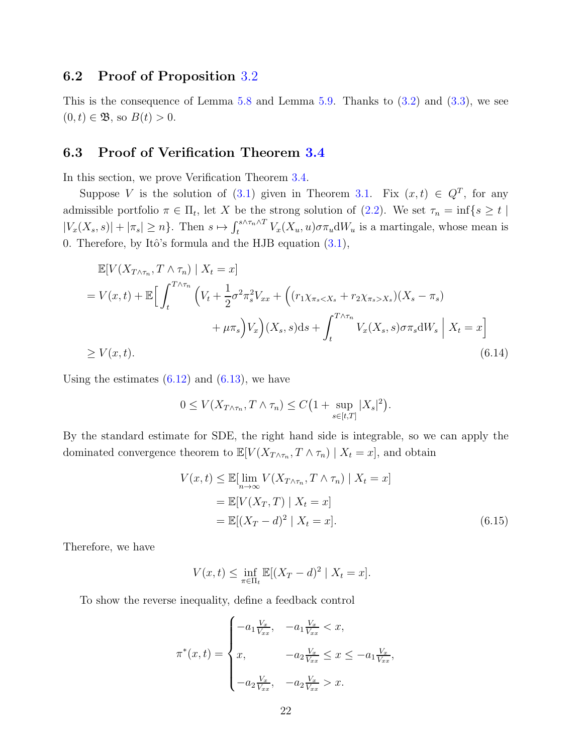#### <span id="page-21-0"></span>6.2 Proof of Proposition [3.2](#page-6-0)

This is the consequence of Lemma [5.8](#page-15-2) and Lemma [5.9.](#page-15-3) Thanks to  $(3.2)$  and  $(3.3)$ , we see  $(0, t) \in \mathfrak{B}$ , so  $B(t) > 0$ .

#### <span id="page-21-1"></span>6.3 Proof of Verification Theorem [3.4](#page-7-0)

In this section, we prove Verification Theorem [3.4.](#page-7-0)

Suppose V is the solution of [\(3.1\)](#page-5-1) given in Theorem [3.1.](#page-5-0) Fix  $(x,t) \in Q^T$ , for any admissible portfolio  $\pi \in \Pi_t$ , let X be the strong solution of [\(2.2\)](#page-4-0). We set  $\tau_n = \inf\{s \ge t \mid$  $|V_x(X_s, s)| + |\pi_s| \ge n$ . Then  $s \mapsto \int_t^{s \wedge \tau_n \wedge T} V_x(X_u, u) \sigma \pi_u dW_u$  is a martingale, whose mean is 0. Therefore, by Itô's formula and the HJB equation  $(3.1)$ ,

$$
\mathbb{E}[V(X_{T\wedge\tau_n}, T \wedge \tau_n) | X_t = x]
$$
\n
$$
= V(x, t) + \mathbb{E}\Big[\int_t^{T\wedge\tau_n} \Big(V_t + \frac{1}{2}\sigma^2 \tau_s^2 V_{xx} + \Big((r_1\chi_{\pi_s < X_s} + r_2\chi_{\pi_s > X_s})(X_s - \pi_s) + \mu \tau_s\Big)V_x\Big)(X_s, s)ds + \int_t^{T\wedge\tau_n} V_x(X_s, s)\sigma \tau_s dW_s | X_t = x\Big]
$$
\n
$$
\geq V(x, t). \tag{6.14}
$$

Using the estimates  $(6.12)$  and  $(6.13)$ , we have

<span id="page-21-2"></span>
$$
0 \le V(X_{T \wedge \tau_n}, T \wedge \tau_n) \le C\left(1 + \sup_{s \in [t,T]} |X_s|^2\right).
$$

By the standard estimate for SDE, the right hand side is integrable, so we can apply the dominated convergence theorem to  $\mathbb{E}[V(X_{T \wedge \tau_n}, T \wedge \tau_n) | X_t = x]$ , and obtain

$$
V(x,t) \le \mathbb{E}[\lim_{n \to \infty} V(X_{T \wedge \tau_n}, T \wedge \tau_n) | X_t = x]
$$
  
=  $\mathbb{E}[V(X_T, T) | X_t = x]$   
=  $\mathbb{E}[(X_T - d)^2 | X_t = x].$  (6.15)

Therefore, we have

<span id="page-21-3"></span>
$$
V(x,t) \le \inf_{\pi \in \Pi_t} \mathbb{E}[(X_T - d)^2 \mid X_t = x].
$$

To show the reverse inequality, define a feedback control

$$
\pi^*(x,t) = \begin{cases}\n-a_1 \frac{V_x}{V_{xx}}, & -a_1 \frac{V_x}{V_{xx}} < x, \\
x, & -a_2 \frac{V_x}{V_{xx}} \le x \le -a_1 \frac{V_x}{V_{xx}}, \\
-a_2 \frac{V_x}{V_{xx}}, & -a_2 \frac{V_x}{V_{xx}} > x.\n\end{cases}
$$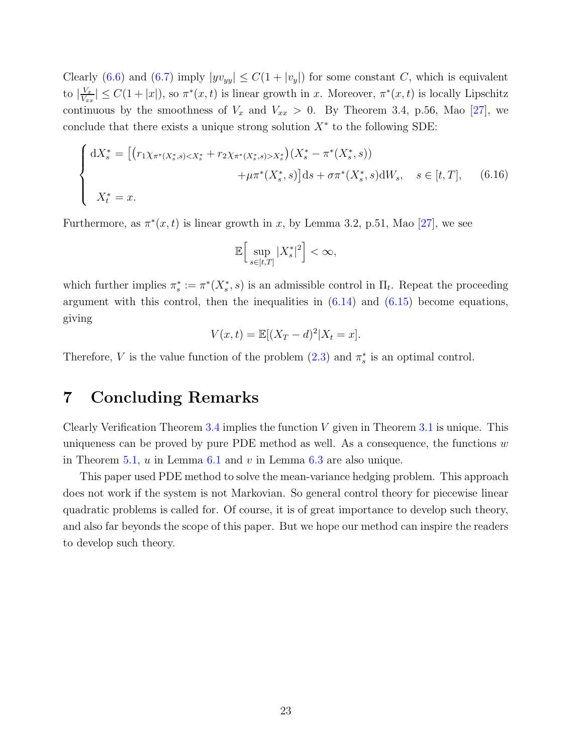<span id="page-22-0"></span>Clearly [\(6.6\)](#page-19-1) and [\(6.7\)](#page-19-2) imply  $|yv_{yy}| \leq C(1+|v_y|)$  for some constant C, which is equivalent to  $\frac{V_x}{V_x}$  $\frac{V_x}{V_{xx}}$   $\leq C(1+|x|)$ , so  $\pi^*(x,t)$  is linear growth in x. Moreover,  $\pi^*(x,t)$  is locally Lipschitz continuous by the smoothness of  $V_x$  and  $V_{xx} > 0$ . By Theorem 3.4, p.56, Mao [\[27\]](#page-30-12), we conclude that there exists a unique strong solution  $X^*$  to the following SDE:

$$
\begin{cases} dX_s^* = \left[ \left( r_1 \chi_{\pi^*(X_s^*, s) < X_s^* + r_2 \chi_{\pi^*(X_s^*, s) > X_s^* \right) \left( X_s^* - \pi^*(X_s^*, s) \right) \right. \\ \left. + \mu \pi^*(X_s^*, s) \right] ds + \sigma \pi^*(X_s^*, s) dW_s, \quad s \in [t, T], \qquad (6.16) \\ X_t^* = x. \end{cases}
$$

Furthermore, as  $\pi^*(x,t)$  is linear growth in x, by Lemma 3.2, p.51, Mao [\[27\]](#page-30-12), we see

$$
\mathbb{E}\Big[\sup_{s\in[t,T]}|X_s^*|^2\Big]<\infty,
$$

which further implies  $\pi_s^* := \pi^*(X_s^*, s)$  is an admissible control in  $\Pi_t$ . Repeat the proceeding argument with this control, then the inequalities in  $(6.14)$  and  $(6.15)$  become equations, giving

$$
V(x,t) = \mathbb{E}[(X_T - d)^2 | X_t = x].
$$

Therefore, V is the value function of the problem  $(2.3)$  and  $\pi_s^*$  is an optimal control.

# 7 Concluding Remarks

Clearly Verification Theorem [3.4](#page-7-0) implies the function  $V$  given in Theorem [3.1](#page-5-0) is unique. This uniqueness can be proved by pure PDE method as well. As a consequence, the functions  $w$ in Theorem [5.1,](#page-11-2)  $u$  in Lemma [6.1](#page-18-2) and  $v$  in Lemma [6.3](#page-19-4) are also unique.

This paper used PDE method to solve the mean-variance hedging problem. This approach does not work if the system is not Markovian. So general control theory for piecewise linear quadratic problems is called for. Of course, it is of great importance to develop such theory, and also far beyonds the scope of this paper. But we hope our method can inspire the readers to develop such theory.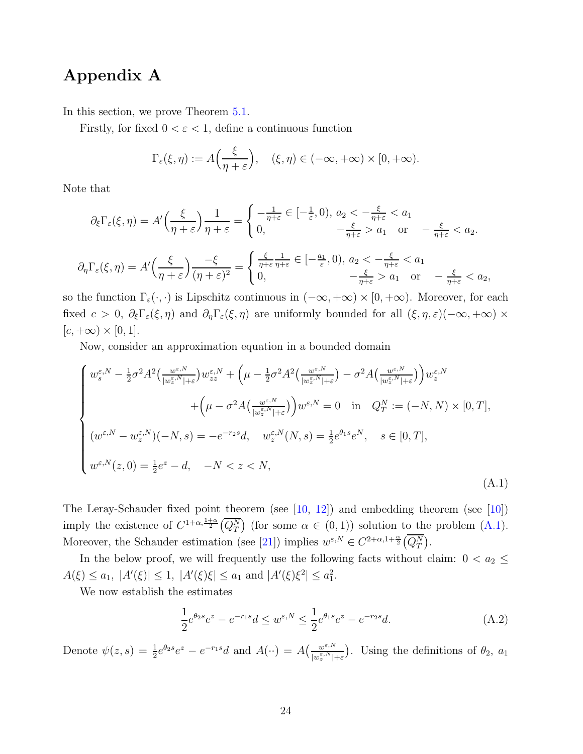### <span id="page-23-3"></span><span id="page-23-0"></span>Appendix A

In this section, we prove Theorem [5.1.](#page-11-2)

Firstly, for fixed  $0 < \varepsilon < 1$ , define a continuous function

$$
\Gamma_{\varepsilon}(\xi,\eta) := A\left(\frac{\xi}{\eta+\varepsilon}\right), \quad (\xi,\eta) \in (-\infty,+\infty) \times [0,+\infty).
$$

Note that

$$
\partial_{\xi} \Gamma_{\varepsilon}(\xi, \eta) = A' \left( \frac{\xi}{\eta + \varepsilon} \right) \frac{1}{\eta + \varepsilon} = \begin{cases} -\frac{1}{\eta + \varepsilon} \in [-\frac{1}{\varepsilon}, 0), a_2 < -\frac{\xi}{\eta + \varepsilon} < a_1 \\ 0, & -\frac{\xi}{\eta + \varepsilon} > a_1 \text{ or } -\frac{\xi}{\eta + \varepsilon} < a_2. \end{cases}
$$

$$
\partial_{\eta} \Gamma_{\varepsilon}(\xi, \eta) = A' \left( \frac{\xi}{\eta + \varepsilon} \right) \frac{-\xi}{(\eta + \varepsilon)^2} = \begin{cases} \frac{\xi}{\eta + \varepsilon} \frac{1}{\eta + \varepsilon} \in [-\frac{a_1}{\varepsilon}, 0), a_2 < -\frac{\xi}{\eta + \varepsilon} < a_1 \\ 0, & -\frac{\xi}{\eta + \varepsilon} > a_1 \text{ or } -\frac{\xi}{\eta + \varepsilon} < a_2, \end{cases}
$$

so the function  $\Gamma_{\varepsilon}(\cdot,\cdot)$  is Lipschitz continuous in  $(-\infty, +\infty) \times [0, +\infty)$ . Moreover, for each fixed  $c > 0$ ,  $\partial_{\xi} \Gamma_{\varepsilon}(\xi, \eta)$  and  $\partial_{\eta} \Gamma_{\varepsilon}(\xi, \eta)$  are uniformly bounded for all  $(\xi, \eta, \varepsilon)(-\infty, +\infty) \times$  $[c, +\infty) \times [0, 1].$ 

Now, consider an approximation equation in a bounded domain

$$
\begin{cases}\nw_{s}^{\varepsilon,N} - \frac{1}{2}\sigma^{2}A^{2}\left(\frac{w^{\varepsilon,N}}{|w_{z}^{\varepsilon,N}|+\varepsilon}\right)w_{zz}^{\varepsilon,N} + \left(\mu - \frac{1}{2}\sigma^{2}A^{2}\left(\frac{w^{\varepsilon,N}}{|w_{z}^{\varepsilon,N}|+\varepsilon}\right) - \sigma^{2}A\left(\frac{w^{\varepsilon,N}}{|w_{z}^{\varepsilon,N}|+\varepsilon}\right)\right)w_{z}^{\varepsilon,N} \\
+ \left(\mu - \sigma^{2}A\left(\frac{w^{\varepsilon,N}}{|w_{z}^{\varepsilon,N}|+\varepsilon}\right)\right)w^{\varepsilon,N} = 0 \quad \text{in} \quad Q_{T}^{N} := (-N, N) \times [0, T], \\
(w^{\varepsilon,N} - w_{z}^{\varepsilon,N})(-N, s) = -e^{-rs}d, \quad w_{z}^{\varepsilon,N}(N, s) = \frac{1}{2}e^{\theta_{1}s}e^{N}, \quad s \in [0, T], \\
w^{\varepsilon,N}(z, 0) = \frac{1}{2}e^{z} - d, \quad -N < z < N,\n\end{cases}
$$
\n(A.1)

The Leray-Schauder fixed point theorem (see [\[10,](#page-29-11) [12\]](#page-29-12)) and embedding theorem (see [\[10\]](#page-29-11)) imply the existence of  $C^{1+\alpha,\frac{1+\alpha}{2}}(\overline{Q_T^N})$  (for some  $\alpha \in (0,1)$ ) solution to the problem  $(A.1)$ . Moreover, the Schauder estimation (see [\[21\]](#page-30-11)) implies  $w^{\varepsilon,N} \in C^{2+\alpha,1+\frac{\alpha}{2}}(\overline{Q_T^N})$ .

In the below proof, we will frequently use the following facts without claim:  $0 < a_2 \leq$  $A(\xi) \le a_1, |A'(\xi)| \le 1, |A'(\xi)\xi| \le a_1 \text{ and } |A'(\xi)\xi^2| \le a_1^2.$ 

We now establish the estimates

<span id="page-23-2"></span><span id="page-23-1"></span>
$$
\frac{1}{2}e^{\theta_2 s}e^z - e^{-r_1 s}d \le w^{\varepsilon, N} \le \frac{1}{2}e^{\theta_1 s}e^z - e^{-r_2 s}d. \tag{A.2}
$$

Denote  $\psi(z,s) = \frac{1}{2}e^{\theta_2 s}e^z - e^{-r_1 s}d$  and  $A(\cdot \cdot) = A\left(\frac{w^{\varepsilon, N}}{|w^{\varepsilon, N}_s|}\right)$  $\frac{w^{\varepsilon,N}}{|w^{\varepsilon,N}_s|+\varepsilon}$ . Using the definitions of  $\theta_2$ ,  $a_1$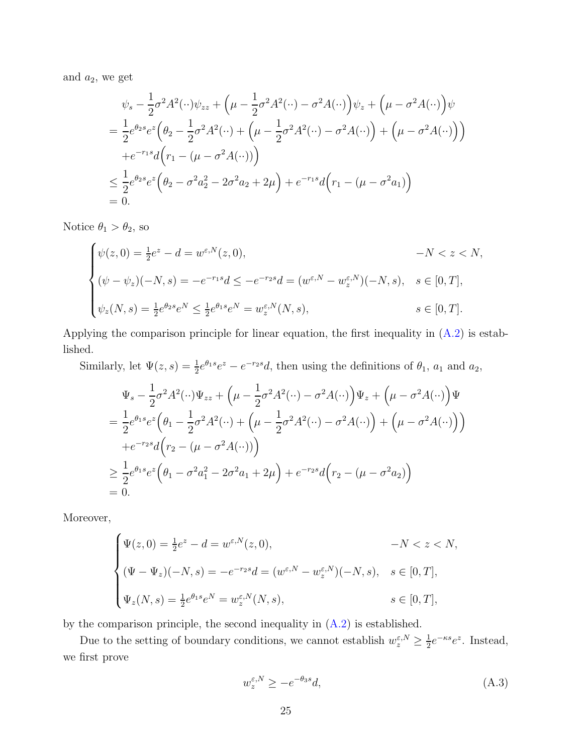and  $a_2$ , we get

$$
\psi_s - \frac{1}{2}\sigma^2 A^2(\cdot \cdot)\psi_{zz} + \left(\mu - \frac{1}{2}\sigma^2 A^2(\cdot \cdot) - \sigma^2 A(\cdot \cdot)\right)\psi_z + \left(\mu - \sigma^2 A(\cdot \cdot)\right)\psi
$$
  
=  $\frac{1}{2}e^{\theta_2 s}e^z \left(\theta_2 - \frac{1}{2}\sigma^2 A^2(\cdot \cdot) + \left(\mu - \frac{1}{2}\sigma^2 A^2(\cdot \cdot) - \sigma^2 A(\cdot \cdot)\right) + \left(\mu - \sigma^2 A(\cdot \cdot)\right)\right)$   
+  $e^{-r_1 s}d\left(r_1 - (\mu - \sigma^2 A(\cdot \cdot))\right)$   
 $\leq \frac{1}{2}e^{\theta_2 s}e^z \left(\theta_2 - \sigma^2 a_2^2 - 2\sigma^2 a_2 + 2\mu\right) + e^{-r_1 s}d\left(r_1 - (\mu - \sigma^2 a_1)\right)$   
= 0.

Notice  $\theta_1 > \theta_2$ , so

$$
\begin{cases}\n\psi(z,0) = \frac{1}{2}e^z - d = w^{\varepsilon,N}(z,0), & -N < z < N, \\
(\psi - \psi_z)(-N,s) = -e^{-r_1s}d \le -e^{-r_2s}d = (w^{\varepsilon,N} - w_z^{\varepsilon,N})(-N,s), & s \in [0,T], \\
\psi_z(N,s) = \frac{1}{2}e^{\theta_2s}e^N \le \frac{1}{2}e^{\theta_1s}e^N = w_z^{\varepsilon,N}(N,s), & s \in [0,T].\n\end{cases}
$$

Applying the comparison principle for linear equation, the first inequality in [\(A.2\)](#page-23-2) is established.

Similarly, let  $\Psi(z,s) = \frac{1}{2}e^{\theta_1s}e^z - e^{-r_2s}d$ , then using the definitions of  $\theta_1$ ,  $a_1$  and  $a_2$ ,

$$
\Psi_s - \frac{1}{2}\sigma^2 A^2(\cdot \cdot) \Psi_{zz} + \left(\mu - \frac{1}{2}\sigma^2 A^2(\cdot \cdot) - \sigma^2 A(\cdot \cdot)\right) \Psi_z + \left(\mu - \sigma^2 A(\cdot \cdot)\right) \Psi
$$
\n
$$
= \frac{1}{2} e^{\theta_1 s} e^z \left(\theta_1 - \frac{1}{2}\sigma^2 A^2(\cdot \cdot) + \left(\mu - \frac{1}{2}\sigma^2 A^2(\cdot \cdot) - \sigma^2 A(\cdot \cdot)\right) + \left(\mu - \sigma^2 A(\cdot \cdot)\right)\right)
$$
\n
$$
+ e^{-r_2 s} d \left(r_2 - (\mu - \sigma^2 A(\cdot \cdot))\right)
$$
\n
$$
\geq \frac{1}{2} e^{\theta_1 s} e^z \left(\theta_1 - \sigma^2 a_1^2 - 2\sigma^2 a_1 + 2\mu\right) + e^{-r_2 s} d \left(r_2 - (\mu - \sigma^2 a_2)\right)
$$
\n
$$
= 0.
$$

Moreover,

$$
\begin{cases} \Psi(z,0) = \frac{1}{2}e^{z} - d = w^{\varepsilon,N}(z,0), & -N < z < N, \\ (\Psi - \Psi_{z})(-N,s) = -e^{-r_{2}s}d = (w^{\varepsilon,N} - w_{z}^{\varepsilon,N})(-N,s), & s \in [0,T], \\ \Psi_{z}(N,s) = \frac{1}{2}e^{\theta_{1}s}e^{N} = w_{z}^{\varepsilon,N}(N,s), & s \in [0,T], \end{cases}
$$

by the comparison principle, the second inequality in  $(A.2)$  is established.

Due to the setting of boundary conditions, we cannot establish  $w_z^{\varepsilon,N} \geq \frac{1}{2}$  $\frac{1}{2}e^{-\kappa s}e^{z}$ . Instead, we first prove

<span id="page-24-0"></span>
$$
w_z^{\varepsilon, N} \ge -e^{-\theta_3 s} d,\tag{A.3}
$$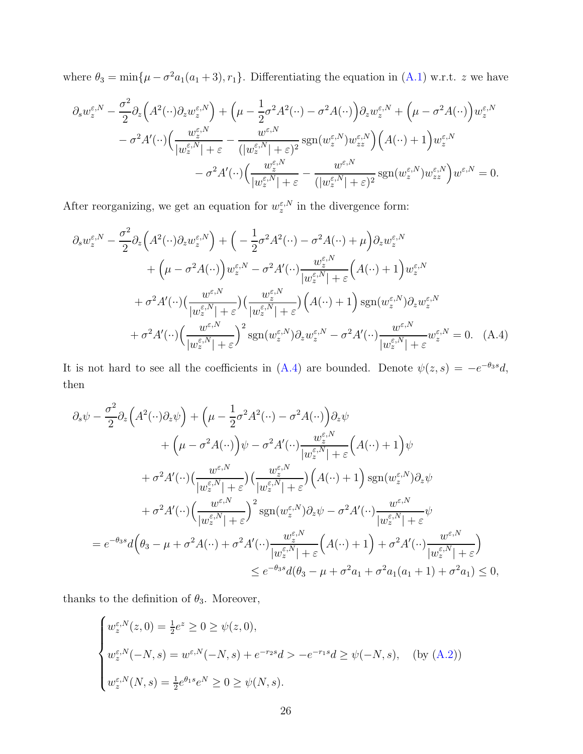where  $\theta_3 = \min{\{\mu - \sigma^2 a_1(a_1 + 3), r_1\}}$ . Differentiating the equation in [\(A.1\)](#page-23-1) w.r.t. z we have

$$
\partial_s w_z^{\varepsilon, N} - \frac{\sigma^2}{2} \partial_z \Big( A^2 (\cdot \cdot) \partial_z w_z^{\varepsilon, N} \Big) + \Big( \mu - \frac{1}{2} \sigma^2 A^2 (\cdot \cdot) - \sigma^2 A (\cdot \cdot) \Big) \partial_z w_z^{\varepsilon, N} + \Big( \mu - \sigma^2 A (\cdot \cdot) \Big) w_z^{\varepsilon, N} \n- \sigma^2 A' (\cdot \cdot) \Big( \frac{w_z^{\varepsilon, N}}{|w_z^{\varepsilon, N}| + \varepsilon} - \frac{w^{\varepsilon, N}}{|w_z^{\varepsilon, N}| + \varepsilon)^2} \operatorname{sgn}(w_z^{\varepsilon, N}) w_{zz}^{\varepsilon, N} \Big) \Big( A (\cdot \cdot) + 1 \Big) w_z^{\varepsilon, N} \n- \sigma^2 A' (\cdot \cdot) \Big( \frac{w_z^{\varepsilon, N}}{|w_z^{\varepsilon, N}| + \varepsilon} - \frac{w^{\varepsilon, N}}{|w_z^{\varepsilon, N}| + \varepsilon)^2} \operatorname{sgn}(w_z^{\varepsilon, N}) w_{zz}^{\varepsilon, N} \Big) w^{\varepsilon, N} = 0.
$$

After reorganizing, we get an equation for  $w_z^{\varepsilon,N}$  in the divergence form:

$$
\partial_s w_z^{\varepsilon,N} - \frac{\sigma^2}{2} \partial_z \left( A^2 (\cdot \cdot) \partial_z w_z^{\varepsilon,N} \right) + \left( -\frac{1}{2} \sigma^2 A^2 (\cdot \cdot) - \sigma^2 A (\cdot \cdot) + \mu \right) \partial_z w_z^{\varepsilon,N}
$$
  
+  $\left( \mu - \sigma^2 A (\cdot \cdot) \right) w_z^{\varepsilon,N} - \sigma^2 A' (\cdot \cdot) \frac{w_z^{\varepsilon,N}}{|w_z^{\varepsilon,N}| + \varepsilon} \left( A (\cdot \cdot) + 1 \right) w_z^{\varepsilon,N}$   
+  $\sigma^2 A' (\cdot \cdot) \left( \frac{w_{\varepsilon,N}}{|w_z^{\varepsilon,N}| + \varepsilon} \right) \left( \frac{w_{\varepsilon,N}^{\varepsilon,N}}{|w_z^{\varepsilon,N}| + \varepsilon} \right) \left( A (\cdot \cdot) + 1 \right) \operatorname{sgn}(w_z^{\varepsilon,N}) \partial_z w_z^{\varepsilon,N}$   
+  $\sigma^2 A' (\cdot \cdot) \left( \frac{w_{\varepsilon,N}}{|w_z^{\varepsilon,N}| + \varepsilon} \right)^2 \operatorname{sgn}(w_z^{\varepsilon,N}) \partial_z w_z^{\varepsilon,N} - \sigma^2 A' (\cdot \cdot) \frac{w_{\varepsilon,N}}{|w_z^{\varepsilon,N}| + \varepsilon} w_z^{\varepsilon,N} = 0. \quad (A.4)$ 

It is not hard to see all the coefficients in  $(A.4)$  are bounded. Denote  $\psi(z,s) = -e^{-\theta_3 s}d$ , then

<span id="page-25-0"></span>
$$
\partial_s \psi - \frac{\sigma^2}{2} \partial_z \left( A^2 (\cdot \cdot) \partial_z \psi \right) + \left( \mu - \frac{1}{2} \sigma^2 A^2 (\cdot \cdot) - \sigma^2 A (\cdot \cdot) \right) \partial_z \psi + \left( \mu - \sigma^2 A (\cdot \cdot) \right) \psi - \sigma^2 A' (\cdot \cdot) \frac{w_z^{\varepsilon, N}}{|w_z^{\varepsilon, N}| + \varepsilon} \left( A (\cdot \cdot) + 1 \right) \psi + \sigma^2 A' (\cdot \cdot) \left( \frac{w^{\varepsilon, N}}{|w_z^{\varepsilon, N}| + \varepsilon} \right) \left( \frac{w_z^{\varepsilon, N}}{|w_z^{\varepsilon, N}| + \varepsilon} \right) \left( A (\cdot \cdot) + 1 \right) \operatorname{sgn}(w_z^{\varepsilon, N}) \partial_z \psi + \sigma^2 A' (\cdot \cdot) \left( \frac{w^{\varepsilon, N}}{|w_z^{\varepsilon, N}| + \varepsilon} \right)^2 \operatorname{sgn}(w_z^{\varepsilon, N}) \partial_z \psi - \sigma^2 A' (\cdot \cdot) \frac{w^{\varepsilon, N}}{|w_z^{\varepsilon, N}| + \varepsilon} \psi = e^{-\theta_3 s} d \left( \theta_3 - \mu + \sigma^2 A (\cdot \cdot) + \sigma^2 A' (\cdot \cdot) \frac{w_z^{\varepsilon, N}}{|w_z^{\varepsilon, N}| + \varepsilon} \left( A (\cdot \cdot) + 1 \right) + \sigma^2 A' (\cdot \cdot) \frac{w^{\varepsilon, N}}{|w_z^{\varepsilon, N}| + \varepsilon} \right) \le e^{-\theta_3 s} d(\theta_3 - \mu + \sigma^2 a_1 + \sigma^2 a_1 (a_1 + 1) + \sigma^2 a_1) \le 0,
$$

thanks to the definition of  $\theta_3$ . Moreover,

$$
\begin{cases}\nw_z^{\varepsilon, N}(z, 0) = \frac{1}{2}e^z \ge 0 \ge \psi(z, 0), \\
w_z^{\varepsilon, N}(-N, s) = w^{\varepsilon, N}(-N, s) + e^{-r_2 s} d > -e^{-r_1 s} d \ge \psi(-N, s), \quad \text{(by (A.2))} \\
w_z^{\varepsilon, N}(N, s) = \frac{1}{2}e^{\theta_1 s}e^N \ge 0 \ge \psi(N, s).\n\end{cases}
$$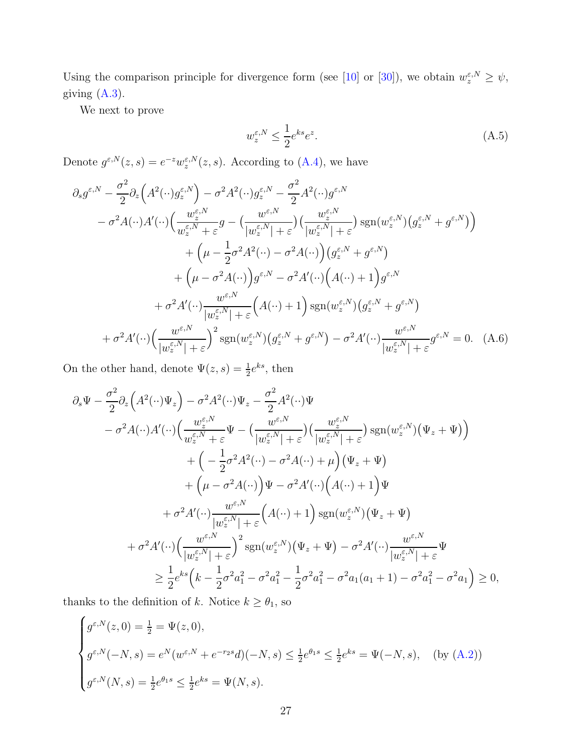<span id="page-26-2"></span>Using the comparison principle for divergence form (see [\[10\]](#page-29-11) or [\[30\]](#page-31-13)), we obtain  $w_z^{\varepsilon,N} \geq \psi$ , giving [\(A.3\)](#page-24-0).

We next to prove

<span id="page-26-1"></span><span id="page-26-0"></span>
$$
w_z^{\varepsilon,N} \le \frac{1}{2} e^{ks} e^z. \tag{A.5}
$$

Denote  $g^{\varepsilon,N}(z,s) = e^{-z} w^{\varepsilon,N}(z,s)$ . According to [\(A.4\)](#page-25-0), we have

$$
\partial_s g^{\varepsilon,N} - \frac{\sigma^2}{2} \partial_z \left( A^2(\cdot \cdot) g_z^{\varepsilon,N} \right) - \sigma^2 A^2(\cdot \cdot) g_z^{\varepsilon,N} - \frac{\sigma^2}{2} A^2(\cdot \cdot) g^{\varepsilon,N} \n- \sigma^2 A(\cdot \cdot) A'(\cdot \cdot) \left( \frac{w_z^{\varepsilon,N}}{w_z^{\varepsilon,N} + \varepsilon} g - \left( \frac{w_z^{\varepsilon,N}}{|w_z^{\varepsilon,N}| + \varepsilon} \right) \left( \frac{w_z^{\varepsilon,N}}{|w_z^{\varepsilon,N}| + \varepsilon} \right) \operatorname{sgn}(w_z^{\varepsilon,N}) \left( g_z^{\varepsilon,N} + g^{\varepsilon,N} \right) \right) \n+ \left( \mu - \frac{1}{2} \sigma^2 A^2(\cdot \cdot) - \sigma^2 A(\cdot \cdot) \right) \left( g_z^{\varepsilon,N} + g^{\varepsilon,N} \right) \n+ \left( \mu - \sigma^2 A(\cdot \cdot) \right) g^{\varepsilon,N} - \sigma^2 A'(\cdot \cdot) \left( A(\cdot \cdot) + 1 \right) g^{\varepsilon,N} \n+ \sigma^2 A'(\cdot \cdot) \frac{w_{\varepsilon,N}}{|w_z^{\varepsilon,N}| + \varepsilon} \left( A(\cdot \cdot) + 1 \right) \operatorname{sgn}(w_z^{\varepsilon,N}) \left( g_z^{\varepsilon,N} + g^{\varepsilon,N} \right) \n+ \sigma^2 A'(\cdot \cdot) \left( \frac{w_{\varepsilon,N}}{|w_z^{\varepsilon,N}| + \varepsilon} \right)^2 \operatorname{sgn}(w_z^{\varepsilon,N}) \left( g_z^{\varepsilon,N} + g^{\varepsilon,N} \right) - \sigma^2 A'(\cdot \cdot) \frac{w_{\varepsilon,N}}{|w_z^{\varepsilon,N}| + \varepsilon} g^{\varepsilon,N} = 0. \quad (A.6)
$$

On the other hand, denote  $\Psi(z,s) = \frac{1}{2}e^{ks}$ , then

$$
\partial_s \Psi - \frac{\sigma^2}{2} \partial_z \left( A^2 (\cdot \cdot) \Psi_z \right) - \sigma^2 A^2 (\cdot \cdot) \Psi_z - \frac{\sigma^2}{2} A^2 (\cdot \cdot) \Psi \n- \sigma^2 A (\cdot \cdot) A' (\cdot \cdot) \left( \frac{w_z^{\varepsilon, N}}{w_z^{\varepsilon, N} + \varepsilon} \Psi - \left( \frac{w_z^{\varepsilon, N}}{|w_z^{\varepsilon, N}| + \varepsilon} \right) \left( \frac{w_z^{\varepsilon, N}}{|w_z^{\varepsilon, N}| + \varepsilon} \right) \operatorname{sgn}(w_z^{\varepsilon, N}) (\Psi_z + \Psi) \right) \n+ \left( -\frac{1}{2} \sigma^2 A^2 (\cdot \cdot) - \sigma^2 A (\cdot \cdot) + \mu \right) (\Psi_z + \Psi) \n+ \left( \mu - \sigma^2 A (\cdot \cdot) \right) \Psi - \sigma^2 A' (\cdot \cdot) \left( A (\cdot \cdot) + 1 \right) \Psi \n+ \sigma^2 A' (\cdot \cdot) \frac{w_{\varepsilon, N}}{|w_z^{\varepsilon, N}| + \varepsilon} (A (\cdot \cdot) + 1) \operatorname{sgn}(w_z^{\varepsilon, N}) (\Psi_z + \Psi) \n+ \sigma^2 A' (\cdot \cdot) \left( \frac{w_{\varepsilon, N}}{|w_z^{\varepsilon, N}| + \varepsilon} \right)^2 \operatorname{sgn}(w_z^{\varepsilon, N}) (\Psi_z + \Psi) - \sigma^2 A' (\cdot \cdot) \frac{w_{\varepsilon, N}}{|w_z^{\varepsilon, N}| + \varepsilon} \Psi \n\geq \frac{1}{2} e^{ks} \left( k - \frac{1}{2} \sigma^2 a_1^2 - \sigma^2 a_1^2 - \frac{1}{2} \sigma^2 a_1^2 - \sigma^2 a_1 (a_1 + 1) - \sigma^2 a_1^2 - \sigma^2 a_1 \right) \geq 0,
$$

thanks to the definition of k. Notice  $k \geq \theta_1$ , so

$$
\begin{cases}\ng^{\varepsilon,N}(z,0) = \frac{1}{2} = \Psi(z,0), \\
g^{\varepsilon,N}(-N,s) = e^N(w^{\varepsilon,N} + e^{-rs}d)(-N,s) \le \frac{1}{2}e^{\theta_1 s} \le \frac{1}{2}e^{ks} = \Psi(-N,s), \quad \text{(by (A.2))} \\
g^{\varepsilon,N}(N,s) = \frac{1}{2}e^{\theta_1 s} \le \frac{1}{2}e^{ks} = \Psi(N,s).\n\end{cases}
$$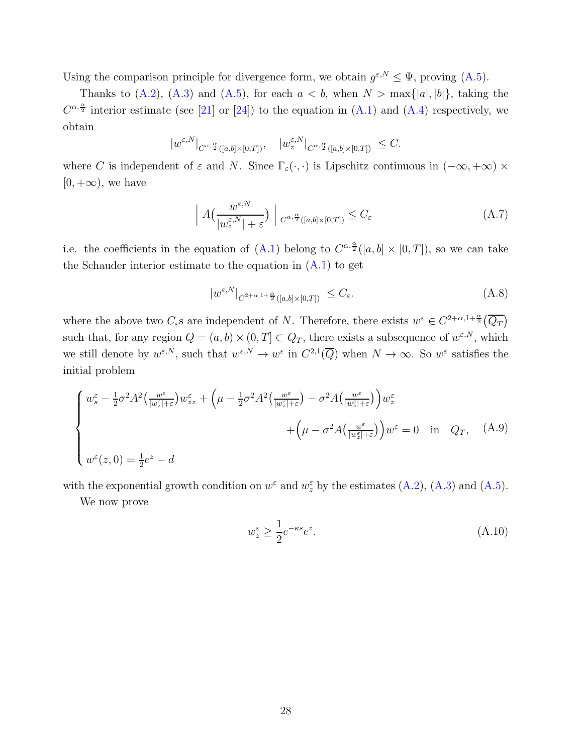<span id="page-27-4"></span>Using the comparison principle for divergence form, we obtain  $g^{\varepsilon,N} \leq \Psi$ , proving [\(A.5\)](#page-26-0).

Thanks to [\(A.2\)](#page-23-2), [\(A.3\)](#page-24-0) and [\(A.5\)](#page-26-0), for each  $a < b$ , when  $N > \max\{|a|, |b|\}$ , taking the  $C^{\alpha, \frac{\alpha}{2}}$  interior estimate (see [\[21\]](#page-30-11) or [\[24\]](#page-30-13)) to the equation in [\(A.1\)](#page-23-1) and [\(A.4\)](#page-25-0) respectively, we obtain

$$
|w^{\varepsilon,N}|_{C^{\alpha,\frac{\alpha}{2}}([a,b]\times[0,T])},\quad |w^{\varepsilon,N}_z|_{C^{\alpha,\frac{\alpha}{2}}([a,b]\times[0,T])}\leq C.
$$

where C is independent of  $\varepsilon$  and N. Since  $\Gamma_{\varepsilon}(\cdot,\cdot)$  is Lipschitz continuous in  $(-\infty, +\infty) \times$  $[0, +\infty)$ , we have

<span id="page-27-1"></span>
$$
\left| A\left(\frac{w^{\varepsilon,N}}{|w^{\varepsilon,N}_z|+\varepsilon}\right) \right| C^{\alpha,\frac{\alpha}{2}}([a,b]\times[0,T]) \leq C_{\varepsilon} \tag{A.7}
$$

i.e. the coefficients in the equation of [\(A.1\)](#page-23-1) belong to  $C^{\alpha, \frac{\alpha}{2}}([a, b] \times [0, T])$ , so we can take the Schauder interior estimate to the equation in  $(A.1)$  to get

<span id="page-27-2"></span>
$$
|w^{\varepsilon,N}|_{C^{2+\alpha,1+\frac{\alpha}{2}}([a,b]\times[0,T])} \leq C_{\varepsilon}.\tag{A.8}
$$

where the above two  $C_{\varepsilon}$ s are independent of N. Therefore, there exists  $w^{\varepsilon} \in C^{2+\alpha,1+\frac{\alpha}{2}}(\overline{Q_T})$ such that, for any region  $Q = (a, b) \times (0, T] \subset Q_T$ , there exists a subsequence of  $w^{\varepsilon, N}$ , which we still denote by  $w^{\varepsilon,N}$ , such that  $w^{\varepsilon,N} \to w^{\varepsilon}$  in  $C^{2,1}(\overline{Q})$  when  $N \to \infty$ . So  $w^{\varepsilon}$  satisfies the initial problem

$$
\begin{cases}\nw_{s}^{\varepsilon} - \frac{1}{2}\sigma^{2}A^{2}\left(\frac{w^{\varepsilon}}{|w_{z}^{\varepsilon}|+\varepsilon}\right)w_{zz}^{\varepsilon} + \left(\mu - \frac{1}{2}\sigma^{2}A^{2}\left(\frac{w^{\varepsilon}}{|w_{z}^{\varepsilon}|+\varepsilon}\right) - \sigma^{2}A\left(\frac{w^{\varepsilon}}{|w_{z}^{\varepsilon}|+\varepsilon}\right)\right)w_{z}^{\varepsilon} \\
&+ \left(\mu - \sigma^{2}A\left(\frac{w^{\varepsilon}}{|w_{z}^{\varepsilon}|+\varepsilon}\right)\right)w^{\varepsilon} = 0 \quad \text{in} \quad Q_{T}, \quad (A.9) \\
w^{\varepsilon}(z,0) = \frac{1}{2}e^{z} - d\n\end{cases}
$$

with the exponential growth condition on  $w^{\varepsilon}$  and  $w^{\varepsilon}$  by the estimates [\(A.2\)](#page-23-2), [\(A.3\)](#page-24-0) and [\(A.5\)](#page-26-0).

We now prove

<span id="page-27-3"></span><span id="page-27-0"></span>
$$
w_z^{\varepsilon} \ge \frac{1}{2} e^{-\kappa s} e^z. \tag{A.10}
$$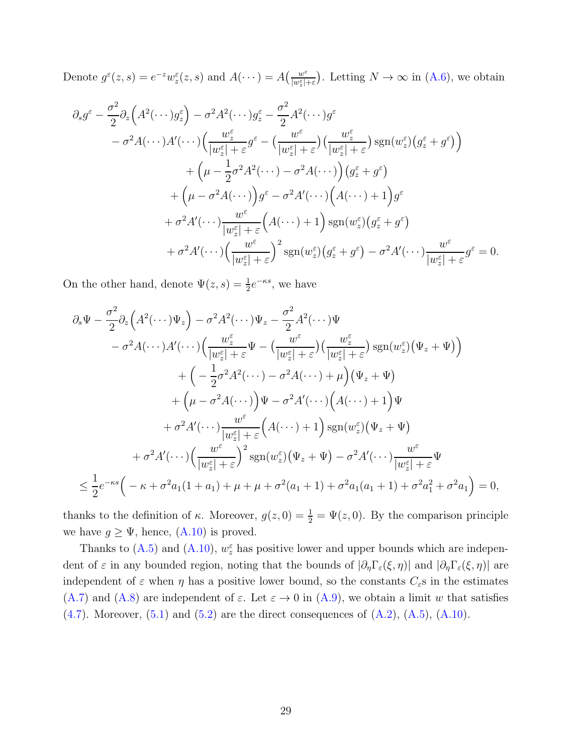Denote  $g^{\varepsilon}(z, s) = e^{-z} w_{z}^{\varepsilon}(z, s)$  and  $A(\cdots) = A\left(\frac{w^{\varepsilon}}{|w_{z}^{\varepsilon}|}\right)$  $\frac{w^{\varepsilon}}{|w_{\varepsilon}^{\varepsilon}|+\varepsilon}$ . Letting  $N \to \infty$  in [\(A.6\)](#page-26-1), we obtain

$$
\partial_s g^{\varepsilon} - \frac{\sigma^2}{2} \partial_z \left( A^2 (\cdots) g_z^{\varepsilon} \right) - \sigma^2 A^2 (\cdots) g_z^{\varepsilon} - \frac{\sigma^2}{2} A^2 (\cdots) g^{\varepsilon}
$$
  

$$
- \sigma^2 A (\cdots) A' (\cdots) \left( \frac{w_z^{\varepsilon}}{|w_z^{\varepsilon}| + \varepsilon} g^{\varepsilon} - \left( \frac{w^{\varepsilon}}{|w_z^{\varepsilon}| + \varepsilon} \right) \left( \frac{w_z^{\varepsilon}}{|w_z^{\varepsilon}| + \varepsilon} \right) \operatorname{sgn}(w_z^{\varepsilon}) \left( g_z^{\varepsilon} + g^{\varepsilon} \right) \right)
$$
  

$$
+ \left( \mu - \frac{1}{2} \sigma^2 A^2 (\cdots) - \sigma^2 A (\cdots) \right) \left( g_z^{\varepsilon} + g^{\varepsilon} \right)
$$
  

$$
+ \left( \mu - \sigma^2 A (\cdots) \right) g^{\varepsilon} - \sigma^2 A' (\cdots) \left( A (\cdots) + 1 \right) g^{\varepsilon}
$$
  

$$
+ \sigma^2 A' (\cdots) \frac{w^{\varepsilon}}{|w_z^{\varepsilon}| + \varepsilon} \left( A (\cdots) + 1 \right) \operatorname{sgn}(w_z^{\varepsilon}) \left( g_z^{\varepsilon} + g^{\varepsilon} \right)
$$
  

$$
+ \sigma^2 A' (\cdots) \left( \frac{w^{\varepsilon}}{|w_z^{\varepsilon}| + \varepsilon} \right)^2 \operatorname{sgn}(w_z^{\varepsilon}) \left( g_z^{\varepsilon} + g^{\varepsilon} \right) - \sigma^2 A' (\cdots) \frac{w^{\varepsilon}}{|w_z^{\varepsilon}| + \varepsilon} g^{\varepsilon} = 0.
$$

On the other hand, denote  $\Psi(z,s) = \frac{1}{2}e^{-\kappa s}$ , we have

$$
\partial_s \Psi - \frac{\sigma^2}{2} \partial_z \Big( A^2 (\cdots) \Psi_z \Big) - \sigma^2 A^2 (\cdots) \Psi_z - \frac{\sigma^2}{2} A^2 (\cdots) \Psi
$$
  
\n
$$
- \sigma^2 A (\cdots) A' (\cdots) \Big( \frac{w_z^{\varepsilon}}{|w_z^{\varepsilon}| + \varepsilon} \Psi - \Big( \frac{w^{\varepsilon}}{|w_z^{\varepsilon}| + \varepsilon} \Big) \Big( \frac{w_z^{\varepsilon}}{|w_z^{\varepsilon}| + \varepsilon} \Big) \operatorname{sgn}(w_z^{\varepsilon}) \Big( \Psi_z + \Psi \Big) \Big)
$$
  
\n
$$
+ \Big( -\frac{1}{2} \sigma^2 A^2 (\cdots) - \sigma^2 A (\cdots) + \mu \Big) \Big( \Psi_z + \Psi \Big)
$$
  
\n
$$
+ \Big( \mu - \sigma^2 A (\cdots) \Big) \Psi - \sigma^2 A' (\cdots) \Big( A (\cdots) + 1 \Big) \Psi
$$
  
\n
$$
+ \sigma^2 A' (\cdots) \frac{w^{\varepsilon}}{|w_z^{\varepsilon}| + \varepsilon} \Big( A (\cdots) + 1 \Big) \operatorname{sgn}(w_z^{\varepsilon}) \Big( \Psi_z + \Psi \Big)
$$
  
\n
$$
+ \sigma^2 A' (\cdots) \Big( \frac{w^{\varepsilon}}{|w_z^{\varepsilon}| + \varepsilon} \Big)^2 \operatorname{sgn}(w_z^{\varepsilon}) \Big( \Psi_z + \Psi \Big) - \sigma^2 A' (\cdots) \frac{w^{\varepsilon}}{|w_z^{\varepsilon}| + \varepsilon} \Psi
$$
  
\n
$$
\leq \frac{1}{2} e^{-\kappa s} \Big( -\kappa + \sigma^2 a_1 (1 + a_1) + \mu + \mu + \sigma^2 (a_1 + 1) + \sigma^2 a_1 (a_1 + 1) + \sigma^2 a_1^2 + \sigma^2 a_1 \Big) = 0,
$$

thanks to the definition of  $\kappa$ . Moreover,  $g(z, 0) = \frac{1}{2} = \Psi(z, 0)$ . By the comparison principle we have  $g \geq \Psi$ , hence,  $(A.10)$  is proved.

Thanks to [\(A.5\)](#page-26-0) and [\(A.10\)](#page-27-0),  $w_z^{\varepsilon}$  has positive lower and upper bounds which are independent of  $\varepsilon$  in any bounded region, noting that the bounds of  $|\partial_{\eta}\Gamma_{\varepsilon}(\xi,\eta)|$  and  $|\partial_{\eta}\Gamma_{\varepsilon}(\xi,\eta)|$  are independent of  $\varepsilon$  when  $\eta$  has a positive lower bound, so the constants  $C_{\varepsilon}$ s in the estimates [\(A.7\)](#page-27-1) and [\(A.8\)](#page-27-2) are independent of  $\varepsilon$ . Let  $\varepsilon \to 0$  in [\(A.9\)](#page-27-3), we obtain a limit w that satisfies  $(4.7)$ . Moreover,  $(5.1)$  and  $(5.2)$  are the direct consequences of  $(A.2)$ ,  $(A.5)$ ,  $(A.10)$ .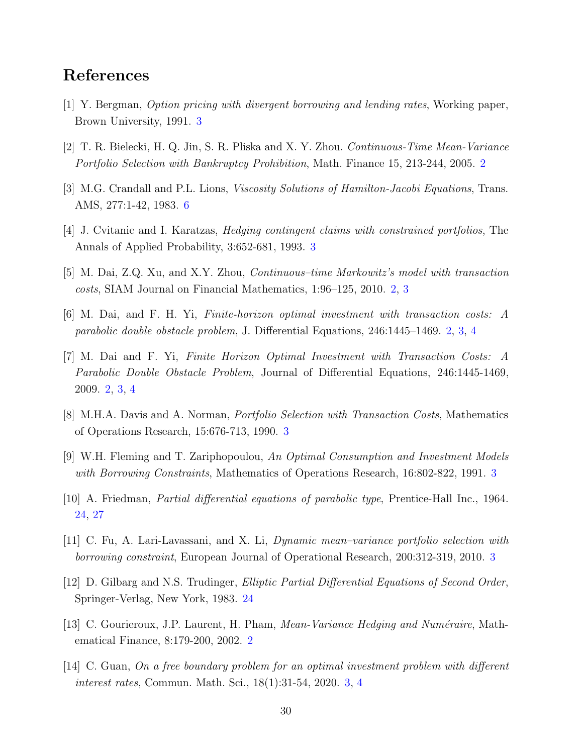### <span id="page-29-5"></span>References

- <span id="page-29-1"></span>[1] Y. Bergman, Option pricing with divergent borrowing and lending rates, Working paper, Brown University, 1991. [3](#page-2-0)
- <span id="page-29-10"></span>[2] T. R. Bielecki, H. Q. Jin, S. R. Pliska and X. Y. Zhou. Continuous-Time Mean-Variance Portfolio Selection with Bankruptcy Prohibition, Math. Finance 15, 213-244, 2005. [2](#page-1-0)
- <span id="page-29-6"></span>[3] M.G. Crandall and P.L. Lions, *Viscosity Solutions of Hamilton-Jacobi Equations*, Trans. AMS, 277:1-42, 1983. [6](#page-5-5)
- <span id="page-29-3"></span>[4] J. Cvitanic and I. Karatzas, Hedging contingent claims with constrained portfolios, The Annals of Applied Probability, 3:652-681, 1993. [3](#page-2-0)
- [5] M. Dai, Z.Q. Xu, and X.Y. Zhou, Continuous–time Markowitz's model with transaction costs, SIAM Journal on Financial Mathematics, 1:96–125, 2010. [2,](#page-1-0) [3](#page-2-0)
- <span id="page-29-2"></span>[6] M. Dai, and F. H. Yi, Finite-horizon optimal investment with transaction costs: A parabolic double obstacle problem, J. Differential Equations, 246:1445–1469. [2,](#page-1-0) [3,](#page-2-0) [4](#page-3-0)
- [7] M. Dai and F. Yi, Finite Horizon Optimal Investment with Transaction Costs: A Parabolic Double Obstacle Problem, Journal of Differential Equations, 246:1445-1469, 2009. [2,](#page-1-0) [3,](#page-2-0) [4](#page-3-0)
- <span id="page-29-9"></span><span id="page-29-4"></span>[8] M.H.A. Davis and A. Norman, Portfolio Selection with Transaction Costs, Mathematics of Operations Research, 15:676-713, 1990. [3](#page-2-0)
- <span id="page-29-11"></span>[9] W.H. Fleming and T. Zariphopoulou, An Optimal Consumption and Investment Models with Borrowing Constraints, Mathematics of Operations Research, 16:802-822, 1991. [3](#page-2-0)
- <span id="page-29-8"></span>[10] A. Friedman, Partial differential equations of parabolic type, Prentice-Hall Inc., 1964. [24,](#page-23-3) [27](#page-26-2)
- <span id="page-29-12"></span>[11] C. Fu, A. Lari-Lavassani, and X. Li, Dynamic mean–variance portfolio selection with borrowing constraint, European Journal of Operational Research, 200:312-319, 2010. [3](#page-2-0)
- <span id="page-29-0"></span>[12] D. Gilbarg and N.S. Trudinger, Elliptic Partial Differential Equations of Second Order, Springer-Verlag, New York, 1983. [24](#page-23-3)
- <span id="page-29-7"></span>[13] C. Gourieroux, J.P. Laurent, H. Pham, *Mean-Variance Hedging and Numéraire*, Mathematical Finance, 8:179-200, 2002. [2](#page-1-0)
- [14] C. Guan, On a free boundary problem for an optimal investment problem with different interest rates, Commun. Math. Sci., 18(1):31-54, 2020. [3,](#page-2-0) [4](#page-3-0)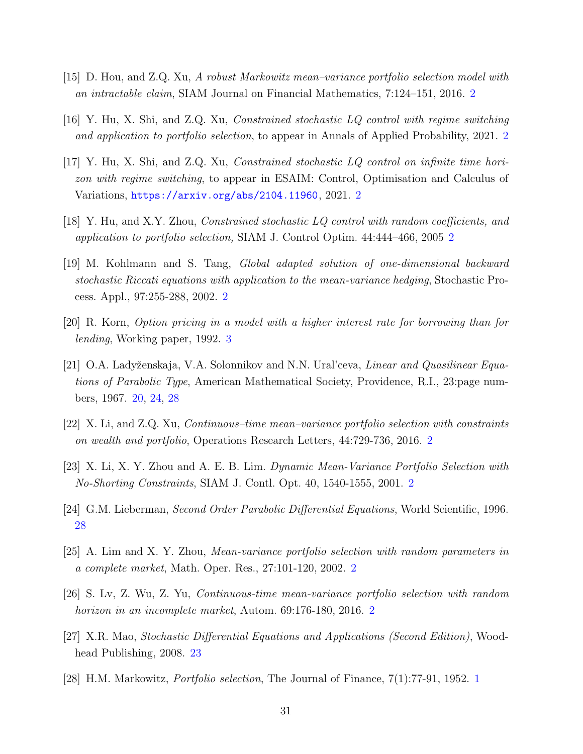- <span id="page-30-9"></span><span id="page-30-4"></span>[15] D. Hou, and Z.Q. Xu, A robust Markowitz mean–variance portfolio selection model with an intractable claim, SIAM Journal on Financial Mathematics, 7:124–151, 2016. [2](#page-1-0)
- <span id="page-30-5"></span>[16] Y. Hu, X. Shi, and Z.Q. Xu, Constrained stochastic LQ control with regime switching and application to portfolio selection, to appear in Annals of Applied Probability, 2021. [2](#page-1-0)
- [17] Y. Hu, X. Shi, and Z.Q. Xu, Constrained stochastic LQ control on infinite time horizon with regime switching, to appear in ESAIM: Control, Optimisation and Calculus of Variations, <https://arxiv.org/abs/2104.11960>, 2021. [2](#page-1-0)
- <span id="page-30-6"></span><span id="page-30-2"></span>[18] Y. Hu, and X.Y. Zhou, Constrained stochastic LQ control with random coefficients, and application to portfolio selection, SIAM J. Control Optim. 44:444–466, 2005 [2](#page-1-0)
- [19] M. Kohlmann and S. Tang, Global adapted solution of one-dimensional backward stochastic Riccati equations with application to the mean-variance hedging, Stochastic Process. Appl., 97:255-288, 2002. [2](#page-1-0)
- <span id="page-30-11"></span><span id="page-30-10"></span>[20] R. Korn, Option pricing in a model with a higher interest rate for borrowing than for lending, Working paper, 1992. [3](#page-2-0)
- [21] O.A. Ladyženskaja, V.A. Solonnikov and N.N. Ural'ceva, *Linear and Quasilinear Equa*tions of Parabolic Type, American Mathematical Society, Providence, R.I., 23:page numbers, 1967. [20,](#page-19-5) [24,](#page-23-3) [28](#page-27-4)
- <span id="page-30-8"></span><span id="page-30-1"></span>[22] X. Li, and Z.Q. Xu, Continuous–time mean–variance portfolio selection with constraints on wealth and portfolio, Operations Research Letters, 44:729-736, 2016. [2](#page-1-0)
- <span id="page-30-13"></span>[23] X. Li, X. Y. Zhou and A. E. B. Lim. Dynamic Mean-Variance Portfolio Selection with No-Shorting Constraints, SIAM J. Contl. Opt. 40, 1540-1555, 2001. [2](#page-1-0)
- <span id="page-30-7"></span>[24] G.M. Lieberman, Second Order Parabolic Differential Equations, World Scientific, 1996. [28](#page-27-4)
- <span id="page-30-3"></span>[25] A. Lim and X. Y. Zhou, Mean-variance portfolio selection with random parameters in a complete market, Math. Oper. Res., 27:101-120, 2002. [2](#page-1-0)
- <span id="page-30-12"></span>[26] S. Lv, Z. Wu, Z. Yu, Continuous-time mean-variance portfolio selection with random horizon in an incomplete market, Autom. 69:176-180, [2](#page-1-0)016. 2
- <span id="page-30-0"></span>[27] X.R. Mao, Stochastic Differential Equations and Applications (Second Edition), Woodhead Publishing, 2008. [23](#page-22-0)
- [28] H.M. Markowitz, Portfolio selection, The Journal of Finance, 7(1):77-91, 1952. [1](#page-0-0)